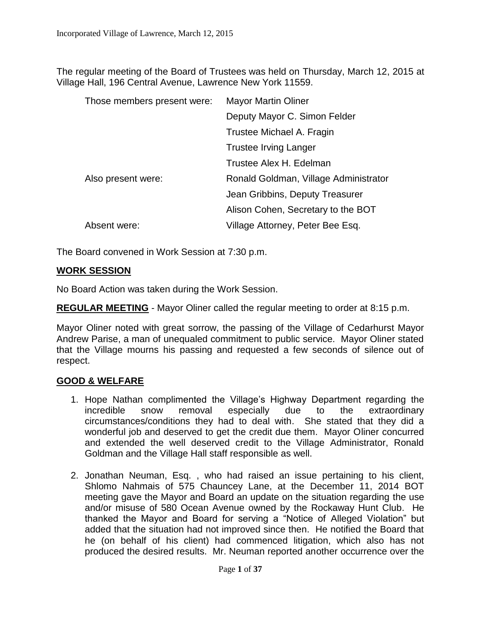The regular meeting of the Board of Trustees was held on Thursday, March 12, 2015 at Village Hall, 196 Central Avenue, Lawrence New York 11559.

| Those members present were: | <b>Mayor Martin Oliner</b>            |
|-----------------------------|---------------------------------------|
|                             | Deputy Mayor C. Simon Felder          |
|                             | Trustee Michael A. Fragin             |
|                             | <b>Trustee Irving Langer</b>          |
|                             | Trustee Alex H. Edelman               |
| Also present were:          | Ronald Goldman, Village Administrator |
|                             | Jean Gribbins, Deputy Treasurer       |
|                             | Alison Cohen, Secretary to the BOT    |
| Absent were:                | Village Attorney, Peter Bee Esq.      |

The Board convened in Work Session at 7:30 p.m.

### **WORK SESSION**

No Board Action was taken during the Work Session.

**REGULAR MEETING** - Mayor Oliner called the regular meeting to order at 8:15 p.m.

Mayor Oliner noted with great sorrow, the passing of the Village of Cedarhurst Mayor Andrew Parise, a man of unequaled commitment to public service. Mayor Oliner stated that the Village mourns his passing and requested a few seconds of silence out of respect.

#### **GOOD & WELFARE**

- 1. Hope Nathan complimented the Village's Highway Department regarding the incredible snow removal especially due to the extraordinary circumstances/conditions they had to deal with. She stated that they did a wonderful job and deserved to get the credit due them. Mayor Oliner concurred and extended the well deserved credit to the Village Administrator, Ronald Goldman and the Village Hall staff responsible as well.
- 2. Jonathan Neuman, Esq. , who had raised an issue pertaining to his client, Shlomo Nahmais of 575 Chauncey Lane, at the December 11, 2014 BOT meeting gave the Mayor and Board an update on the situation regarding the use and/or misuse of 580 Ocean Avenue owned by the Rockaway Hunt Club. He thanked the Mayor and Board for serving a "Notice of Alleged Violation" but added that the situation had not improved since then. He notified the Board that he (on behalf of his client) had commenced litigation, which also has not produced the desired results. Mr. Neuman reported another occurrence over the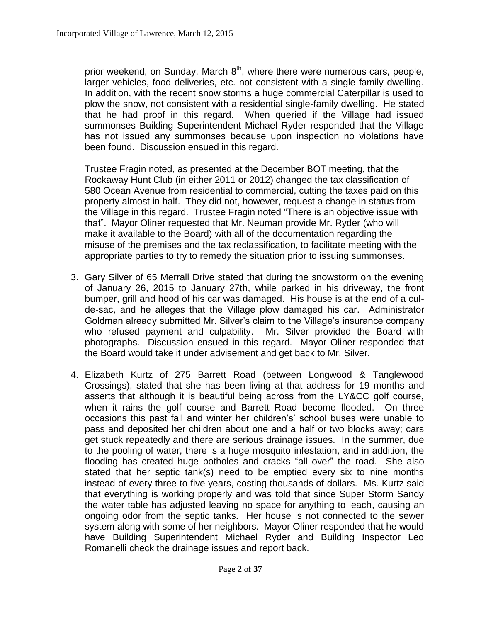prior weekend, on Sunday, March 8<sup>th</sup>, where there were numerous cars, people, larger vehicles, food deliveries, etc. not consistent with a single family dwelling. In addition, with the recent snow storms a huge commercial Caterpillar is used to plow the snow, not consistent with a residential single-family dwelling. He stated that he had proof in this regard. When queried if the Village had issued summonses Building Superintendent Michael Ryder responded that the Village has not issued any summonses because upon inspection no violations have been found. Discussion ensued in this regard.

Trustee Fragin noted, as presented at the December BOT meeting, that the Rockaway Hunt Club (in either 2011 or 2012) changed the tax classification of 580 Ocean Avenue from residential to commercial, cutting the taxes paid on this property almost in half. They did not, however, request a change in status from the Village in this regard. Trustee Fragin noted "There is an objective issue with that". Mayor Oliner requested that Mr. Neuman provide Mr. Ryder (who will make it available to the Board) with all of the documentation regarding the misuse of the premises and the tax reclassification, to facilitate meeting with the appropriate parties to try to remedy the situation prior to issuing summonses.

- 3. Gary Silver of 65 Merrall Drive stated that during the snowstorm on the evening of January 26, 2015 to January 27th, while parked in his driveway, the front bumper, grill and hood of his car was damaged. His house is at the end of a culde-sac, and he alleges that the Village plow damaged his car. Administrator Goldman already submitted Mr. Silver's claim to the Village's insurance company who refused payment and culpability. Mr. Silver provided the Board with photographs. Discussion ensued in this regard. Mayor Oliner responded that the Board would take it under advisement and get back to Mr. Silver.
- 4. Elizabeth Kurtz of 275 Barrett Road (between Longwood & Tanglewood Crossings), stated that she has been living at that address for 19 months and asserts that although it is beautiful being across from the LY&CC golf course, when it rains the golf course and Barrett Road become flooded. On three occasions this past fall and winter her children's' school buses were unable to pass and deposited her children about one and a half or two blocks away; cars get stuck repeatedly and there are serious drainage issues. In the summer, due to the pooling of water, there is a huge mosquito infestation, and in addition, the flooding has created huge potholes and cracks "all over" the road. She also stated that her septic tank(s) need to be emptied every six to nine months instead of every three to five years, costing thousands of dollars. Ms. Kurtz said that everything is working properly and was told that since Super Storm Sandy the water table has adjusted leaving no space for anything to leach, causing an ongoing odor from the septic tanks. Her house is not connected to the sewer system along with some of her neighbors. Mayor Oliner responded that he would have Building Superintendent Michael Ryder and Building Inspector Leo Romanelli check the drainage issues and report back.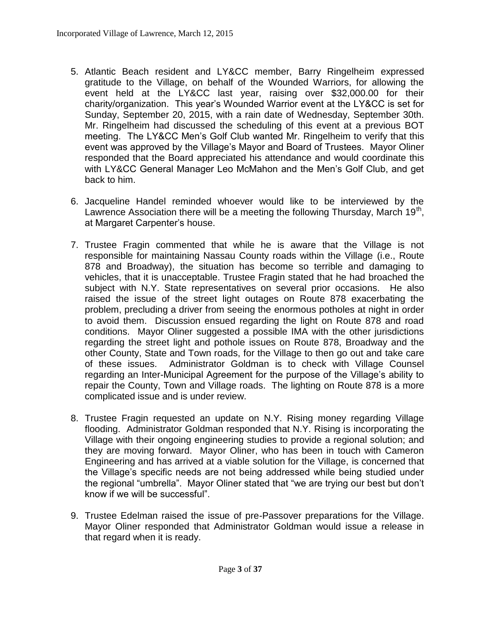- 5. Atlantic Beach resident and LY&CC member, Barry Ringelheim expressed gratitude to the Village, on behalf of the Wounded Warriors, for allowing the event held at the LY&CC last year, raising over \$32,000.00 for their charity/organization. This year's Wounded Warrior event at the LY&CC is set for Sunday, September 20, 2015, with a rain date of Wednesday, September 30th. Mr. Ringelheim had discussed the scheduling of this event at a previous BOT meeting. The LY&CC Men's Golf Club wanted Mr. Ringelheim to verify that this event was approved by the Village's Mayor and Board of Trustees. Mayor Oliner responded that the Board appreciated his attendance and would coordinate this with LY&CC General Manager Leo McMahon and the Men's Golf Club, and get back to him.
- 6. Jacqueline Handel reminded whoever would like to be interviewed by the Lawrence Association there will be a meeting the following Thursday, March 19<sup>th</sup>, at Margaret Carpenter's house.
- 7. Trustee Fragin commented that while he is aware that the Village is not responsible for maintaining Nassau County roads within the Village (i.e., Route 878 and Broadway), the situation has become so terrible and damaging to vehicles, that it is unacceptable. Trustee Fragin stated that he had broached the subject with N.Y. State representatives on several prior occasions. He also raised the issue of the street light outages on Route 878 exacerbating the problem, precluding a driver from seeing the enormous potholes at night in order to avoid them. Discussion ensued regarding the light on Route 878 and road conditions. Mayor Oliner suggested a possible IMA with the other jurisdictions regarding the street light and pothole issues on Route 878, Broadway and the other County, State and Town roads, for the Village to then go out and take care of these issues. Administrator Goldman is to check with Village Counsel regarding an Inter-Municipal Agreement for the purpose of the Village's ability to repair the County, Town and Village roads. The lighting on Route 878 is a more complicated issue and is under review.
- 8. Trustee Fragin requested an update on N.Y. Rising money regarding Village flooding. Administrator Goldman responded that N.Y. Rising is incorporating the Village with their ongoing engineering studies to provide a regional solution; and they are moving forward. Mayor Oliner, who has been in touch with Cameron Engineering and has arrived at a viable solution for the Village, is concerned that the Village's specific needs are not being addressed while being studied under the regional "umbrella". Mayor Oliner stated that "we are trying our best but don't know if we will be successful".
- 9. Trustee Edelman raised the issue of pre-Passover preparations for the Village. Mayor Oliner responded that Administrator Goldman would issue a release in that regard when it is ready.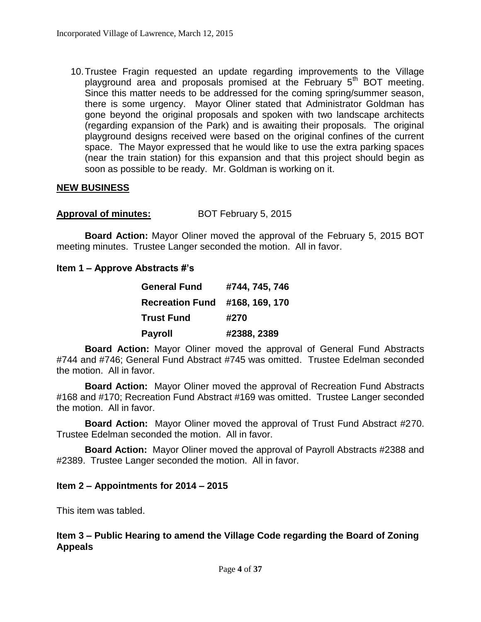10.Trustee Fragin requested an update regarding improvements to the Village playground area and proposals promised at the February  $5<sup>th</sup>$  BOT meeting. Since this matter needs to be addressed for the coming spring/summer season, there is some urgency. Mayor Oliner stated that Administrator Goldman has gone beyond the original proposals and spoken with two landscape architects (regarding expansion of the Park) and is awaiting their proposals. The original playground designs received were based on the original confines of the current space. The Mayor expressed that he would like to use the extra parking spaces (near the train station) for this expansion and that this project should begin as soon as possible to be ready. Mr. Goldman is working on it.

## **NEW BUSINESS**

**Approval of minutes:** BOT February 5, 2015

**Board Action:** Mayor Oliner moved the approval of the February 5, 2015 BOT meeting minutes. Trustee Langer seconded the motion. All in favor.

### **Item 1 – Approve Abstracts #'s**

| <b>General Fund</b>    | #744, 745, 746 |
|------------------------|----------------|
| <b>Recreation Fund</b> | #168, 169, 170 |
| <b>Trust Fund</b>      | #270           |
| <b>Payroll</b>         | #2388, 2389    |

**Board Action:** Mayor Oliner moved the approval of General Fund Abstracts #744 and #746; General Fund Abstract #745 was omitted. Trustee Edelman seconded the motion. All in favor.

**Board Action:** Mayor Oliner moved the approval of Recreation Fund Abstracts #168 and #170; Recreation Fund Abstract #169 was omitted. Trustee Langer seconded the motion. All in favor.

**Board Action:** Mayor Oliner moved the approval of Trust Fund Abstract #270. Trustee Edelman seconded the motion. All in favor.

**Board Action:** Mayor Oliner moved the approval of Payroll Abstracts #2388 and #2389. Trustee Langer seconded the motion. All in favor.

### **Item 2 – Appointments for 2014 – 2015**

This item was tabled.

## **Item 3 – Public Hearing to amend the Village Code regarding the Board of Zoning Appeals**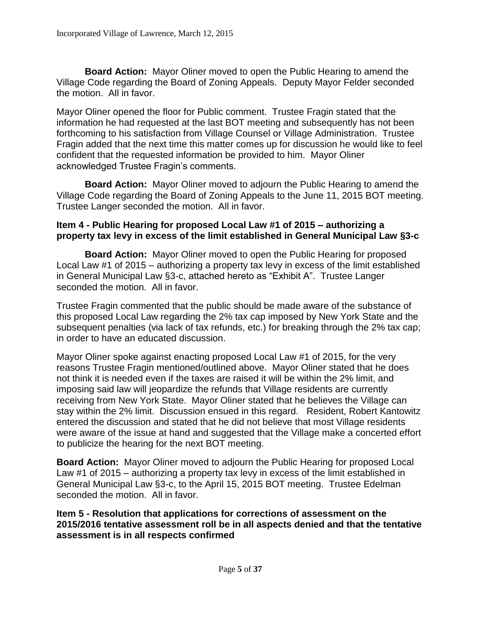**Board Action:** Mayor Oliner moved to open the Public Hearing to amend the Village Code regarding the Board of Zoning Appeals. Deputy Mayor Felder seconded the motion. All in favor.

Mayor Oliner opened the floor for Public comment. Trustee Fragin stated that the information he had requested at the last BOT meeting and subsequently has not been forthcoming to his satisfaction from Village Counsel or Village Administration. Trustee Fragin added that the next time this matter comes up for discussion he would like to feel confident that the requested information be provided to him. Mayor Oliner acknowledged Trustee Fragin's comments.

**Board Action:** Mayor Oliner moved to adjourn the Public Hearing to amend the Village Code regarding the Board of Zoning Appeals to the June 11, 2015 BOT meeting. Trustee Langer seconded the motion. All in favor.

### **Item 4 - Public Hearing for proposed Local Law #1 of 2015 – authorizing a property tax levy in excess of the limit established in General Municipal Law §3-c**

**Board Action:** Mayor Oliner moved to open the Public Hearing for proposed Local Law #1 of 2015 – authorizing a property tax levy in excess of the limit established in General Municipal Law §3-c, attached hereto as "Exhibit A". Trustee Langer seconded the motion. All in favor.

Trustee Fragin commented that the public should be made aware of the substance of this proposed Local Law regarding the 2% tax cap imposed by New York State and the subsequent penalties (via lack of tax refunds, etc.) for breaking through the 2% tax cap; in order to have an educated discussion.

Mayor Oliner spoke against enacting proposed Local Law #1 of 2015, for the very reasons Trustee Fragin mentioned/outlined above. Mayor Oliner stated that he does not think it is needed even if the taxes are raised it will be within the 2% limit, and imposing said law will jeopardize the refunds that Village residents are currently receiving from New York State. Mayor Oliner stated that he believes the Village can stay within the 2% limit. Discussion ensued in this regard. Resident, Robert Kantowitz entered the discussion and stated that he did not believe that most Village residents were aware of the issue at hand and suggested that the Village make a concerted effort to publicize the hearing for the next BOT meeting.

**Board Action:** Mayor Oliner moved to adjourn the Public Hearing for proposed Local Law #1 of 2015 – authorizing a property tax levy in excess of the limit established in General Municipal Law §3-c, to the April 15, 2015 BOT meeting. Trustee Edelman seconded the motion. All in favor.

**Item 5 - Resolution that applications for corrections of assessment on the 2015/2016 tentative assessment roll be in all aspects denied and that the tentative assessment is in all respects confirmed**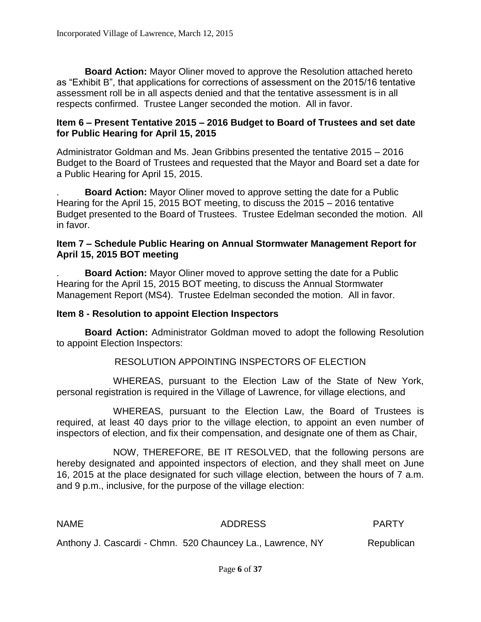**Board Action:** Mayor Oliner moved to approve the Resolution attached hereto as "Exhibit B", that applications for corrections of assessment on the 2015/16 tentative assessment roll be in all aspects denied and that the tentative assessment is in all respects confirmed. Trustee Langer seconded the motion. All in favor.

#### **Item 6 – Present Tentative 2015 – 2016 Budget to Board of Trustees and set date for Public Hearing for April 15, 2015**

Administrator Goldman and Ms. Jean Gribbins presented the tentative 2015 – 2016 Budget to the Board of Trustees and requested that the Mayor and Board set a date for a Public Hearing for April 15, 2015.

. **Board Action:** Mayor Oliner moved to approve setting the date for a Public Hearing for the April 15, 2015 BOT meeting, to discuss the 2015 – 2016 tentative Budget presented to the Board of Trustees. Trustee Edelman seconded the motion. All in favor.

#### **Item 7 – Schedule Public Hearing on Annual Stormwater Management Report for April 15, 2015 BOT meeting**

. **Board Action:** Mayor Oliner moved to approve setting the date for a Public Hearing for the April 15, 2015 BOT meeting, to discuss the Annual Stormwater Management Report (MS4). Trustee Edelman seconded the motion. All in favor.

### **Item 8 - Resolution to appoint Election Inspectors**

 **Board Action:** Administrator Goldman moved to adopt the following Resolution to appoint Election Inspectors:

### RESOLUTION APPOINTING INSPECTORS OF ELECTION

WHEREAS, pursuant to the Election Law of the State of New York, personal registration is required in the Village of Lawrence, for village elections, and

WHEREAS, pursuant to the Election Law, the Board of Trustees is required, at least 40 days prior to the village election, to appoint an even number of inspectors of election, and fix their compensation, and designate one of them as Chair,

NOW, THEREFORE, BE IT RESOLVED, that the following persons are hereby designated and appointed inspectors of election, and they shall meet on June 16, 2015 at the place designated for such village election, between the hours of 7 a.m. and 9 p.m., inclusive, for the purpose of the village election:

NAME ADDRESS PARTY

Anthony J. Cascardi - Chmn. 520 Chauncey La., Lawrence, NY Republican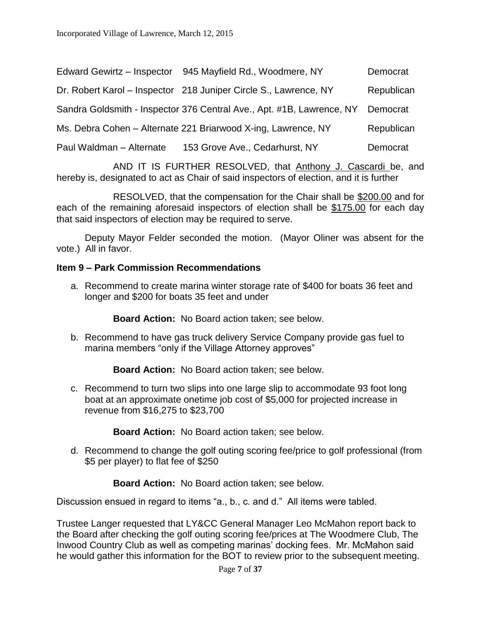| Edward Gewirtz - Inspector | 945 Mayfield Rd., Woodmere, NY                                        | Democrat   |
|----------------------------|-----------------------------------------------------------------------|------------|
|                            | Dr. Robert Karol - Inspector 218 Juniper Circle S., Lawrence, NY      | Republican |
|                            | Sandra Goldsmith - Inspector 376 Central Ave., Apt. #1B, Lawrence, NY | Democrat   |
|                            | Ms. Debra Cohen - Alternate 221 Briarwood X-ing, Lawrence, NY         | Republican |
| Paul Waldman - Alternate   | 153 Grove Ave., Cedarhurst, NY                                        | Democrat   |

AND IT IS FURTHER RESOLVED, that Anthony J. Cascardi be, and hereby is, designated to act as Chair of said inspectors of election, and it is further

RESOLVED, that the compensation for the Chair shall be \$200.00 and for each of the remaining aforesaid inspectors of election shall be \$175.00 for each day that said inspectors of election may be required to serve.

Deputy Mayor Felder seconded the motion. (Mayor Oliner was absent for the vote.) All in favor.

### **Item 9 – Park Commission Recommendations**

a. Recommend to create marina winter storage rate of \$400 for boats 36 feet and longer and \$200 for boats 35 feet and under

**Board Action:** No Board action taken; see below.

b. Recommend to have gas truck delivery Service Company provide gas fuel to marina members "only if the Village Attorney approves"

**Board Action:** No Board action taken; see below.

c. Recommend to turn two slips into one large slip to accommodate 93 foot long boat at an approximate onetime job cost of \$5,000 for projected increase in revenue from \$16,275 to \$23,700

**Board Action:** No Board action taken; see below.

d. Recommend to change the golf outing scoring fee/price to golf professional (from \$5 per player) to flat fee of \$250

**Board Action:** No Board action taken; see below.

Discussion ensued in regard to items "a., b., c. and d." All items were tabled.

Trustee Langer requested that LY&CC General Manager Leo McMahon report back to the Board after checking the golf outing scoring fee/prices at The Woodmere Club, The Inwood Country Club as well as competing marinas' docking fees. Mr. McMahon said he would gather this information for the BOT to review prior to the subsequent meeting.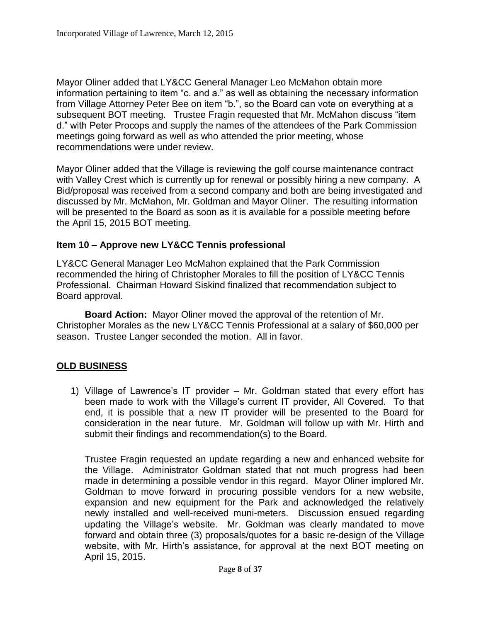Mayor Oliner added that LY&CC General Manager Leo McMahon obtain more information pertaining to item "c. and a." as well as obtaining the necessary information from Village Attorney Peter Bee on item "b.", so the Board can vote on everything at a subsequent BOT meeting. Trustee Fragin requested that Mr. McMahon discuss "item d." with Peter Procops and supply the names of the attendees of the Park Commission meetings going forward as well as who attended the prior meeting, whose recommendations were under review.

Mayor Oliner added that the Village is reviewing the golf course maintenance contract with Valley Crest which is currently up for renewal or possibly hiring a new company. A Bid/proposal was received from a second company and both are being investigated and discussed by Mr. McMahon, Mr. Goldman and Mayor Oliner. The resulting information will be presented to the Board as soon as it is available for a possible meeting before the April 15, 2015 BOT meeting.

### **Item 10 – Approve new LY&CC Tennis professional**

LY&CC General Manager Leo McMahon explained that the Park Commission recommended the hiring of Christopher Morales to fill the position of LY&CC Tennis Professional. Chairman Howard Siskind finalized that recommendation subject to Board approval.

**Board Action:** Mayor Oliner moved the approval of the retention of Mr. Christopher Morales as the new LY&CC Tennis Professional at a salary of \$60,000 per season. Trustee Langer seconded the motion. All in favor.

## **OLD BUSINESS**

1) Village of Lawrence's IT provider – Mr. Goldman stated that every effort has been made to work with the Village's current IT provider, All Covered. To that end, it is possible that a new IT provider will be presented to the Board for consideration in the near future. Mr. Goldman will follow up with Mr. Hirth and submit their findings and recommendation(s) to the Board.

Trustee Fragin requested an update regarding a new and enhanced website for the Village. Administrator Goldman stated that not much progress had been made in determining a possible vendor in this regard. Mayor Oliner implored Mr. Goldman to move forward in procuring possible vendors for a new website, expansion and new equipment for the Park and acknowledged the relatively newly installed and well-received muni-meters. Discussion ensued regarding updating the Village's website. Mr. Goldman was clearly mandated to move forward and obtain three (3) proposals/quotes for a basic re-design of the Village website, with Mr. Hirth's assistance, for approval at the next BOT meeting on April 15, 2015.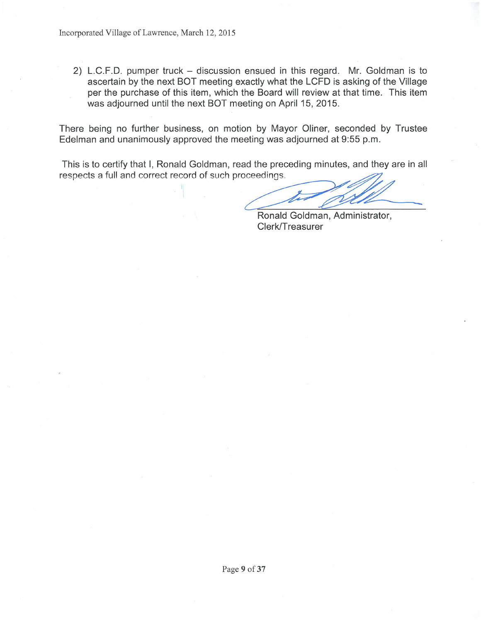2) L.C.F.D. pumper truck - discussion ensued in this regard. Mr. Goldman is to ascertain by the next BOT meeting exactly what the LCFD is asking of the Village per the purchase of this item, which the Board will review at that time. This item was adjourned until the next BOT meeting on April 15, 2015.

There being no further business, on motion by Mayor Oliner, seconded by Trustee Edelman and unanimously approved the meeting was adjourned at 9:55 p.m.

This is to certify that I, Ronald Goldman, read the preceding minutes, and they are in all respects a full and correct record of such proceedings.

Ronald Goldman, Administrator, Clerk/Treasurer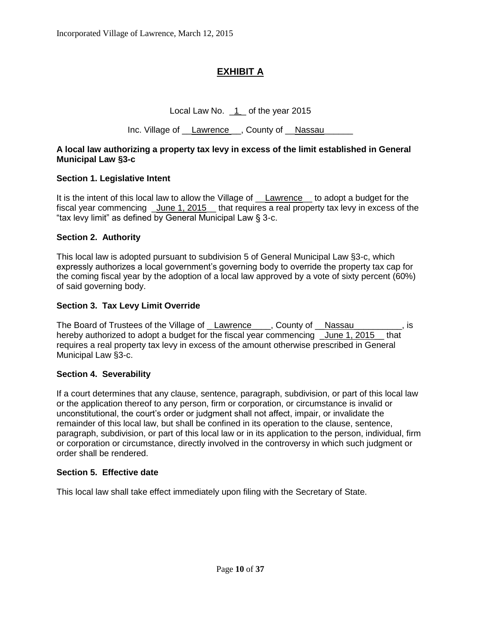# **EXHIBIT A**

Local Law No.  $1$  of the year 2015

Inc. Village of Lawrence , County of Nassau

#### **A local law authorizing a property tax levy in excess of the limit established in General Municipal Law §3-c**

### **Section 1. Legislative Intent**

It is the intent of this local law to allow the Village of **Lawrence** to adopt a budget for the fiscal year commencing June 1, 2015 that requires a real property tax levy in excess of the "tax levy limit" as defined by General Municipal Law § 3-c.

### **Section 2. Authority**

This local law is adopted pursuant to subdivision 5 of General Municipal Law §3-c, which expressly authorizes a local government's governing body to override the property tax cap for the coming fiscal year by the adoption of a local law approved by a vote of sixty percent (60%) of said governing body.

### **Section 3. Tax Levy Limit Override**

The Board of Trustees of the Village of Lawrence , County of Nassau estimate is hereby authorized to adopt a budget for the fiscal year commencing June 1, 2015 that requires a real property tax levy in excess of the amount otherwise prescribed in General Municipal Law §3-c.

#### **Section 4. Severability**

If a court determines that any clause, sentence, paragraph, subdivision, or part of this local law or the application thereof to any person, firm or corporation, or circumstance is invalid or unconstitutional, the court's order or judgment shall not affect, impair, or invalidate the remainder of this local law, but shall be confined in its operation to the clause, sentence, paragraph, subdivision, or part of this local law or in its application to the person, individual, firm or corporation or circumstance, directly involved in the controversy in which such judgment or order shall be rendered.

#### **Section 5. Effective date**

This local law shall take effect immediately upon filing with the Secretary of State.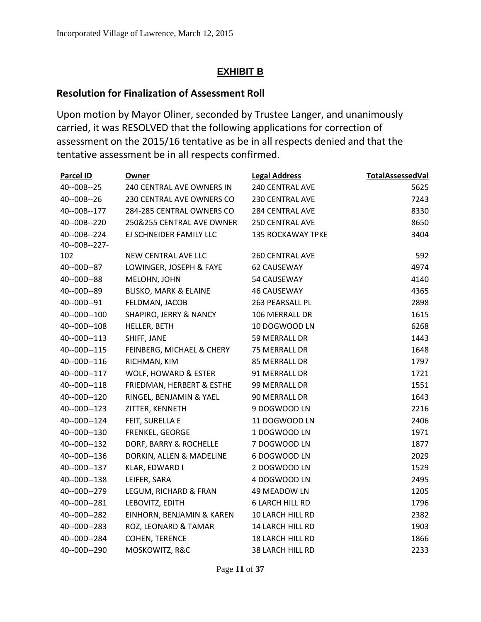## **EXHIBIT B**

## **Resolution for Finalization of Assessment Roll**

Upon motion by Mayor Oliner, seconded by Trustee Langer, and unanimously carried, it was RESOLVED that the following applications for correction of assessment on the 2015/16 tentative as be in all respects denied and that the tentative assessment be in all respects confirmed.

| <b>Parcel ID</b>              | <b>Owner</b>                     | <b>Legal Address</b>     | <b>TotalAssessedVal</b> |
|-------------------------------|----------------------------------|--------------------------|-------------------------|
| 40--00B--25                   | 240 CENTRAL AVE OWNERS IN        | 240 CENTRAL AVE          | 5625                    |
| 40--00B--26                   | 230 CENTRAL AVE OWNERS CO        | <b>230 CENTRAL AVE</b>   | 7243                    |
| 40--00B--177                  | 284-285 CENTRAL OWNERS CO        | 284 CENTRAL AVE          | 8330                    |
| 40--00B--220                  | 250&255 CENTRAL AVE OWNER        | 250 CENTRAL AVE          | 8650                    |
| 40--00B--224<br>40--00B--227- | EJ SCHNEIDER FAMILY LLC          | <b>135 ROCKAWAY TPKE</b> | 3404                    |
| 102                           | NEW CENTRAL AVE LLC              | <b>260 CENTRAL AVE</b>   | 592                     |
| 40--00D--87                   | LOWINGER, JOSEPH & FAYE          | <b>62 CAUSEWAY</b>       | 4974                    |
| 40--00D--88                   | MELOHN, JOHN                     | 54 CAUSEWAY              | 4140                    |
| 40--00D--89                   | <b>BLISKO, MARK &amp; ELAINE</b> | <b>46 CAUSEWAY</b>       | 4365                    |
| 40--00D--91                   | FELDMAN, JACOB                   | 263 PEARSALL PL          | 2898                    |
| 40--00D--100                  | SHAPIRO, JERRY & NANCY           | 106 MERRALL DR           | 1615                    |
| 40--00D--108                  | HELLER, BETH                     | 10 DOGWOOD LN            | 6268                    |
| 40--00D--113                  | SHIFF, JANE                      | 59 MERRALL DR            | 1443                    |
| 40--00D--115                  | FEINBERG, MICHAEL & CHERY        | 75 MERRALL DR            | 1648                    |
| 40--00D--116                  | RICHMAN, KIM                     | 85 MERRALL DR            | 1797                    |
| 40--00D--117                  | WOLF, HOWARD & ESTER             | 91 MERRALL DR            | 1721                    |
| 40--00D--118                  | FRIEDMAN, HERBERT & ESTHE        | 99 MERRALL DR            | 1551                    |
| 40--00D--120                  | RINGEL, BENJAMIN & YAEL          | 90 MERRALL DR            | 1643                    |
| 40--00D--123                  | ZITTER, KENNETH                  | 9 DOGWOOD LN             | 2216                    |
| 40--00D--124                  | FEIT, SURELLA E                  | 11 DOGWOOD LN            | 2406                    |
| 40--00D--130                  | FRENKEL, GEORGE                  | 1 DOGWOOD LN             | 1971                    |
| 40--00D--132                  | DORF, BARRY & ROCHELLE           | 7 DOGWOOD LN             | 1877                    |
| 40--00D--136                  | DORKIN, ALLEN & MADELINE         | 6 DOGWOOD LN             | 2029                    |
| 40--00D--137                  | KLAR, EDWARD I                   | 2 DOGWOOD LN             | 1529                    |
| 40--00D--138                  | LEIFER, SARA                     | 4 DOGWOOD LN             | 2495                    |
| 40--00D--279                  | LEGUM, RICHARD & FRAN            | 49 MEADOW LN             | 1205                    |
| 40--00D--281                  | LEBOVITZ, EDITH                  | <b>6 LARCH HILL RD</b>   | 1796                    |
| 40--00D--282                  | EINHORN, BENJAMIN & KAREN        | 10 LARCH HILL RD         | 2382                    |
| 40--00D--283                  | ROZ, LEONARD & TAMAR             | 14 LARCH HILL RD         | 1903                    |
| 40--00D--284                  | COHEN, TERENCE                   | 18 LARCH HILL RD         | 1866                    |
| 40--00D--290                  | MOSKOWITZ, R&C                   | 38 LARCH HILL RD         | 2233                    |
|                               |                                  |                          |                         |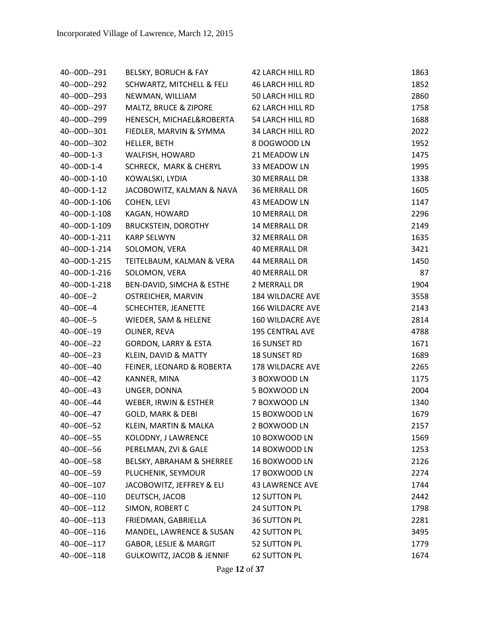| BELSKY, BORUCH & FAY                 | 42 LARCH HILL RD       | 1863                                                                                                                       |
|--------------------------------------|------------------------|----------------------------------------------------------------------------------------------------------------------------|
|                                      | 46 LARCH HILL RD       | 1852                                                                                                                       |
| NEWMAN, WILLIAM                      | 50 LARCH HILL RD       | 2860                                                                                                                       |
| MALTZ, BRUCE & ZIPORE                | 62 LARCH HILL RD       | 1758                                                                                                                       |
|                                      | 54 LARCH HILL RD       | 1688                                                                                                                       |
| FIEDLER, MARVIN & SYMMA              | 34 LARCH HILL RD       | 2022                                                                                                                       |
| HELLER, BETH                         | 8 DOGWOOD LN           | 1952                                                                                                                       |
| WALFISH, HOWARD                      | 21 MEADOW LN           | 1475                                                                                                                       |
| SCHRECK, MARK & CHERYL               | 33 MEADOW LN           | 1995                                                                                                                       |
| KOWALSKI, LYDIA                      | 30 MERRALL DR          | 1338                                                                                                                       |
| JACOBOWITZ, KALMAN & NAVA            | 36 MERRALL DR          | 1605                                                                                                                       |
| COHEN, LEVI                          | 43 MEADOW LN           | 1147                                                                                                                       |
| KAGAN, HOWARD                        | 10 MERRALL DR          | 2296                                                                                                                       |
| <b>BRUCKSTEIN, DOROTHY</b>           | 14 MERRALL DR          | 2149                                                                                                                       |
| <b>KARP SELWYN</b>                   | <b>32 MERRALL DR</b>   | 1635                                                                                                                       |
| SOLOMON, VERA                        | 40 MERRALL DR          | 3421                                                                                                                       |
| TEITELBAUM, KALMAN & VERA            | <b>44 MERRALL DR</b>   | 1450                                                                                                                       |
| SOLOMON, VERA                        | 40 MERRALL DR          | 87                                                                                                                         |
|                                      | 2 MERRALL DR           | 1904                                                                                                                       |
| OSTREICHER, MARVIN                   | 184 WILDACRE AVE       | 3558                                                                                                                       |
| SCHECHTER, JEANETTE                  | 166 WILDACRE AVE       | 2143                                                                                                                       |
| WIEDER, SAM & HELENE                 | 160 WILDACRE AVE       | 2814                                                                                                                       |
| OLINER, REVA                         | 195 CENTRAL AVE        | 4788                                                                                                                       |
| <b>GORDON, LARRY &amp; ESTA</b>      | <b>16 SUNSET RD</b>    | 1671                                                                                                                       |
| KLEIN, DAVID & MATTY                 | <b>18 SUNSET RD</b>    | 1689                                                                                                                       |
|                                      | 178 WILDACRE AVE       | 2265                                                                                                                       |
| KANNER, MINA                         | 3 BOXWOOD LN           | 1175                                                                                                                       |
| UNGER, DONNA                         | 5 BOXWOOD LN           | 2004                                                                                                                       |
| WEBER, IRWIN & ESTHER                | 7 BOXWOOD LN           | 1340                                                                                                                       |
| <b>GOLD, MARK &amp; DEBI</b>         | 15 BOXWOOD LN          | 1679                                                                                                                       |
| KLEIN, MARTIN & MALKA                | 2 BOXWOOD LN           | 2157                                                                                                                       |
| KOLODNY, J LAWRENCE                  | 10 BOXWOOD LN          | 1569                                                                                                                       |
| PERELMAN, ZVI & GALE                 | 14 BOXWOOD LN          | 1253                                                                                                                       |
| BELSKY, ABRAHAM & SHERREE            | 16 BOXWOOD LN          | 2126                                                                                                                       |
| PLUCHENIK, SEYMOUR                   | 17 BOXWOOD LN          | 2274                                                                                                                       |
| JACOBOWITZ, JEFFREY & ELI            | <b>43 LAWRENCE AVE</b> | 1744                                                                                                                       |
| DEUTSCH, JACOB                       | 12 SUTTON PL           | 2442                                                                                                                       |
| SIMON, ROBERT C                      | 24 SUTTON PL           | 1798                                                                                                                       |
| FRIEDMAN, GABRIELLA                  | 36 SUTTON PL           | 2281                                                                                                                       |
| MANDEL, LAWRENCE & SUSAN             | <b>42 SUTTON PL</b>    | 3495                                                                                                                       |
| <b>GABOR, LESLIE &amp; MARGIT</b>    | 52 SUTTON PL           | 1779                                                                                                                       |
| <b>GULKOWITZ, JACOB &amp; JENNIF</b> | <b>62 SUTTON PL</b>    | 1674                                                                                                                       |
|                                      |                        | <b>SCHWARTZ, MITCHELL &amp; FELI</b><br>HENESCH, MICHAEL&ROBERTA<br>BEN-DAVID, SIMCHA & ESTHE<br>FEINER, LEONARD & ROBERTA |

Page **12** of **37**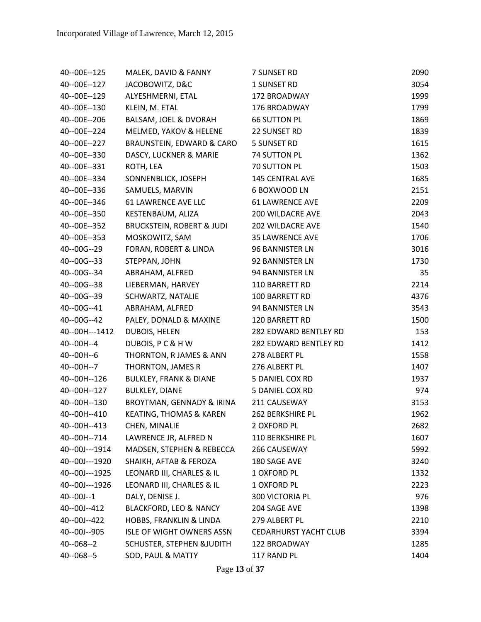| 40--00E--125   | MALEK, DAVID & FANNY                 | 7 SUNSET RD                  | 2090 |
|----------------|--------------------------------------|------------------------------|------|
| 40--00E--127   | JACOBOWITZ, D&C                      | 1 SUNSET RD                  | 3054 |
| 40--00E--129   | ALYESHMERNI, ETAL                    | 172 BROADWAY                 | 1999 |
| 40--00E--130   | KLEIN, M. ETAL                       | 176 BROADWAY                 | 1799 |
| 40--00E--206   | BALSAM, JOEL & DVORAH                | <b>66 SUTTON PL</b>          | 1869 |
| 40--00E--224   | MELMED, YAKOV & HELENE               | 22 SUNSET RD                 | 1839 |
| 40--00E--227   | BRAUNSTEIN, EDWARD & CARO            | 5 SUNSET RD                  | 1615 |
| 40--00E--330   | DASCY, LUCKNER & MARIE               | 74 SUTTON PL                 | 1362 |
| 40--00E--331   | ROTH, LEA                            | 70 SUTTON PL                 | 1503 |
| 40--00E--334   | SONNENBLICK, JOSEPH                  | 145 CENTRAL AVE              | 1685 |
| 40--00E--336   | SAMUELS, MARVIN                      | 6 BOXWOOD LN                 | 2151 |
| 40--00E--346   | 61 LAWRENCE AVE LLC                  | <b>61 LAWRENCE AVE</b>       | 2209 |
| 40--00E--350   | KESTENBAUM, ALIZA                    | 200 WILDACRE AVE             | 2043 |
| 40--00E--352   | <b>BRUCKSTEIN, ROBERT &amp; JUDI</b> | 202 WILDACRE AVE             | 1540 |
| 40--00E--353   | MOSKOWITZ, SAM                       | <b>35 LAWRENCE AVE</b>       | 1706 |
| 40--00G--29    | FORAN, ROBERT & LINDA                | 96 BANNISTER LN              | 3016 |
| 40--00G--33    | STEPPAN, JOHN                        | 92 BANNISTER LN              | 1730 |
| 40--00G--34    | ABRAHAM, ALFRED                      | 94 BANNISTER LN              | 35   |
| 40--00G--38    | LIEBERMAN, HARVEY                    | 110 BARRETT RD               | 2214 |
| 40--00G--39    | SCHWARTZ, NATALIE                    | 100 BARRETT RD               | 4376 |
| 40--00G--41    | ABRAHAM, ALFRED                      | 94 BANNISTER LN              | 3543 |
| 40--00G--42    | PALEY, DONALD & MAXINE               | 120 BARRETT RD               | 1500 |
| 40--00H---1412 | DUBOIS, HELEN                        | 282 EDWARD BENTLEY RD        | 153  |
| 40--00H--4     | DUBOIS, PC&HW                        | 282 EDWARD BENTLEY RD        | 1412 |
| 40--00H--6     | THORNTON, R JAMES & ANN              | 278 ALBERT PL                | 1558 |
| 40--00H--7     | THORNTON, JAMES R                    | 276 ALBERT PL                | 1407 |
| 40--00H--126   | <b>BULKLEY, FRANK &amp; DIANE</b>    | 5 DANIEL COX RD              | 1937 |
| 40--00H--127   | <b>BULKLEY, DIANE</b>                | 5 DANIEL COX RD              | 974  |
| 40--00H--130   | BROYTMAN, GENNADY & IRINA            | 211 CAUSEWAY                 | 3153 |
| 40--00H--410   | <b>KEATING, THOMAS &amp; KAREN</b>   | 262 BERKSHIRE PL             | 1962 |
| 40--00H--413   | CHEN, MINALIE                        | 2 OXFORD PL                  | 2682 |
| 40--00H--714   | LAWRENCE JR, ALFRED N                | 110 BERKSHIRE PL             | 1607 |
| 40--00J---1914 | MADSEN, STEPHEN & REBECCA            | 266 CAUSEWAY                 | 5992 |
| 40--00J---1920 | SHAIKH, AFTAB & FEROZA               | 180 SAGE AVE                 | 3240 |
| 40--00J---1925 | LEONARD III, CHARLES & IL            | 1 OXFORD PL                  | 1332 |
| 40--00J---1926 | LEONARD III, CHARLES & IL            | 1 OXFORD PL                  | 2223 |
| $40 - 00J - 1$ | DALY, DENISE J.                      | 300 VICTORIA PL              | 976  |
| 40--00J--412   | <b>BLACKFORD, LEO &amp; NANCY</b>    | 204 SAGE AVE                 | 1398 |
| 40--00J--422   | <b>HOBBS, FRANKLIN &amp; LINDA</b>   | 279 ALBERT PL                | 2210 |
| 40--00J--905   | <b>ISLE OF WIGHT OWNERS ASSN</b>     | <b>CEDARHURST YACHT CLUB</b> | 3394 |
| 40--068--2     | <b>SCHUSTER, STEPHEN &amp;JUDITH</b> | 122 BROADWAY                 | 1285 |
| 40--068--5     | SOD, PAUL & MATTY                    | 117 RAND PL                  | 1404 |
|                |                                      |                              |      |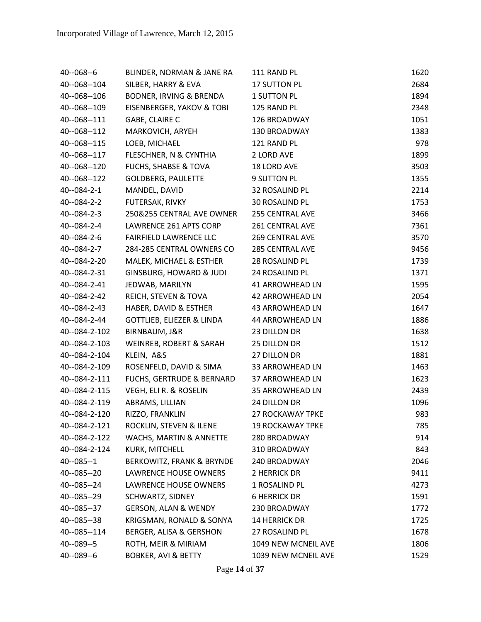| 40--068--6     | BLINDER, NORMAN & JANE RA            | 111 RAND PL             | 1620 |
|----------------|--------------------------------------|-------------------------|------|
| 40--068--104   | SILBER, HARRY & EVA                  | 17 SUTTON PL            | 2684 |
| 40--068--106   | BODNER, IRVING & BRENDA              | <b>1 SUTTON PL</b>      | 1894 |
| 40--068--109   | EISENBERGER, YAKOV & TOBI            | 125 RAND PL             | 2348 |
| 40--068--111   | GABE, CLAIRE C                       | 126 BROADWAY            | 1051 |
| 40--068--112   | MARKOVICH, ARYEH                     | 130 BROADWAY            | 1383 |
| 40--068--115   | LOEB, MICHAEL                        | 121 RAND PL             | 978  |
| 40--068--117   | FLESCHNER, N & CYNTHIA               | 2 LORD AVE              | 1899 |
| 40--068--120   | <b>FUCHS, SHABSE &amp; TOVA</b>      | 18 LORD AVE             | 3503 |
| 40--068--122   | <b>GOLDBERG, PAULETTE</b>            | 9 SUTTON PL             | 1355 |
| 40--084-2-1    | MANDEL, DAVID                        | 32 ROSALIND PL          | 2214 |
| 40--084-2-2    | FUTERSAK, RIVKY                      | 30 ROSALIND PL          | 1753 |
| 40--084-2-3    | 250&255 CENTRAL AVE OWNER            | <b>255 CENTRAL AVE</b>  | 3466 |
| 40--084-2-4    | LAWRENCE 261 APTS CORP               | 261 CENTRAL AVE         | 7361 |
| 40--084-2-6    | <b>FAIRFIELD LAWRENCE LLC</b>        | <b>269 CENTRAL AVE</b>  | 3570 |
| 40--084-2-7    | 284-285 CENTRAL OWNERS CO            | <b>285 CENTRAL AVE</b>  | 9456 |
| 40--084-2-20   | MALEK, MICHAEL & ESTHER              | 28 ROSALIND PL          | 1739 |
| 40--084-2-31   | GINSBURG, HOWARD & JUDI              | 24 ROSALIND PL          | 1371 |
| 40--084-2-41   | JEDWAB, MARILYN                      | 41 ARROWHEAD LN         | 1595 |
| 40--084-2-42   | REICH, STEVEN & TOVA                 | <b>42 ARROWHEAD LN</b>  | 2054 |
| 40--084-2-43   | HABER, DAVID & ESTHER                | 43 ARROWHEAD LN         | 1647 |
| 40--084-2-44   | <b>GOTTLIEB, ELIEZER &amp; LINDA</b> | 44 ARROWHEAD LN         | 1886 |
| 40--084-2-102  | BIRNBAUM, J&R                        | 23 DILLON DR            | 1638 |
| 40--084-2-103  | WEINREB, ROBERT & SARAH              | 25 DILLON DR            | 1512 |
| 40--084-2-104  | KLEIN, A&S                           | 27 DILLON DR            | 1881 |
| 40--084-2-109  | ROSENFELD, DAVID & SIMA              | 33 ARROWHEAD LN         | 1463 |
| 40--084-2-111  | FUCHS, GERTRUDE & BERNARD            | 37 ARROWHEAD LN         | 1623 |
| 40--084-2-115  | VEGH, ELI R. & ROSELIN               | <b>35 ARROWHEAD LN</b>  | 2439 |
| 40--084-2-119  | ABRAMS, LILLIAN                      | 24 DILLON DR            | 1096 |
| 40--084-2-120  | RIZZO, FRANKLIN                      | <b>27 ROCKAWAY TPKE</b> | 983  |
| 40--084-2-121  | ROCKLIN, STEVEN & ILENE              | <b>19 ROCKAWAY TPKE</b> | 785  |
| 40--084-2-122  | WACHS, MARTIN & ANNETTE              | 280 BROADWAY            | 914  |
| 40--084-2-124  | <b>KURK, MITCHELL</b>                | 310 BROADWAY            | 843  |
| $40 - 085 - 1$ | <b>BERKOWITZ, FRANK &amp; BRYNDE</b> | 240 BROADWAY            | 2046 |
| 40--085--20    | LAWRENCE HOUSE OWNERS                | 2 HERRICK DR            | 9411 |
| 40--085--24    | LAWRENCE HOUSE OWNERS                | 1 ROSALIND PL           | 4273 |
| 40--085--29    | SCHWARTZ, SIDNEY                     | <b>6 HERRICK DR</b>     | 1591 |
| 40--085--37    | <b>GERSON, ALAN &amp; WENDY</b>      | 230 BROADWAY            | 1772 |
| 40--085--38    | KRIGSMAN, RONALD & SONYA             | 14 HERRICK DR           | 1725 |
| 40--085--114   | BERGER, ALISA & GERSHON              | 27 ROSALIND PL          | 1678 |
| 40--089--5     | ROTH, MEIR & MIRIAM                  | 1049 NEW MCNEIL AVE     | 1806 |
| 40--089--6     | <b>BOBKER, AVI &amp; BETTY</b>       | 1039 NEW MCNEIL AVE     | 1529 |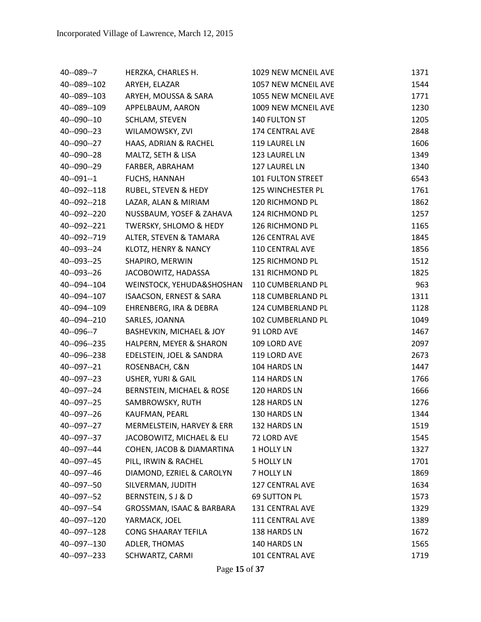| 40--089--7     | HERZKA, CHARLES H.                  | 1029 NEW MCNEIL AVE    | 1371 |
|----------------|-------------------------------------|------------------------|------|
| 40--089--102   | ARYEH, ELAZAR                       | 1057 NEW MCNEIL AVE    | 1544 |
| 40--089--103   | ARYEH, MOUSSA & SARA                | 1055 NEW MCNEIL AVE    | 1771 |
| 40--089--109   | APPELBAUM, AARON                    | 1009 NEW MCNEIL AVE    | 1230 |
| 40--090--10    | <b>SCHLAM, STEVEN</b>               | 140 FULTON ST          | 1205 |
| 40--090--23    | WILAMOWSKY, ZVI                     | 174 CENTRAL AVE        | 2848 |
| 40--090--27    | HAAS, ADRIAN & RACHEL               | 119 LAUREL LN          | 1606 |
| 40--090--28    | MALTZ, SETH & LISA                  | 123 LAUREL LN          | 1349 |
| 40--090--29    | FARBER, ABRAHAM                     | 127 LAUREL LN          | 1340 |
| $40 - 091 - 1$ | FUCHS, HANNAH                       | 101 FULTON STREET      | 6543 |
| 40--092--118   | RUBEL, STEVEN & HEDY                | 125 WINCHESTER PL      | 1761 |
| 40--092--218   | LAZAR, ALAN & MIRIAM                | 120 RICHMOND PL        | 1862 |
| 40--092--220   | NUSSBAUM, YOSEF & ZAHAVA            | 124 RICHMOND PL        | 1257 |
| 40--092--221   | TWERSKY, SHLOMO & HEDY              | 126 RICHMOND PL        | 1165 |
| 40--092--719   | ALTER, STEVEN & TAMARA              | 126 CENTRAL AVE        | 1845 |
| 40--093--24    | KLOTZ, HENRY & NANCY                | 110 CENTRAL AVE        | 1856 |
| 40--093--25    | SHAPIRO, MERWIN                     | 125 RICHMOND PL        | 1512 |
| 40--093--26    | JACOBOWITZ, HADASSA                 | 131 RICHMOND PL        | 1825 |
| 40--094--104   | WEINSTOCK, YEHUDA&SHOSHAN           | 110 CUMBERLAND PL      | 963  |
| 40--094--107   | <b>ISAACSON, ERNEST &amp; SARA</b>  | 118 CUMBERLAND PL      | 1311 |
| 40--094--109   | EHRENBERG, IRA & DEBRA              | 124 CUMBERLAND PL      | 1128 |
| 40--094--210   | SARLES, JOANNA                      | 102 CUMBERLAND PL      | 1049 |
| 40--096--7     | <b>BASHEVKIN, MICHAEL &amp; JOY</b> | 91 LORD AVE            | 1467 |
| 40--096--235   | HALPERN, MEYER & SHARON             | 109 LORD AVE           | 2097 |
| 40--096--238   | EDELSTEIN, JOEL & SANDRA            | 119 LORD AVE           | 2673 |
| 40--097--21    | ROSENBACH, C&N                      | 104 HARDS LN           | 1447 |
| 40--097--23    | USHER, YURI & GAIL                  | 114 HARDS LN           | 1766 |
| 40--097--24    | BERNSTEIN, MICHAEL & ROSE           | 120 HARDS LN           | 1666 |
| 40--097--25    | SAMBROWSKY, RUTH                    | 128 HARDS LN           | 1276 |
| 40--097--26    | KAUFMAN, PEARL                      | 130 HARDS LN           | 1344 |
| 40--097--27    | MERMELSTEIN, HARVEY & ERR           | 132 HARDS LN           | 1519 |
| 40--097--37    | JACOBOWITZ, MICHAEL & ELI           | 72 LORD AVE            | 1545 |
| 40--097--44    | COHEN, JACOB & DIAMARTINA           | 1 HOLLY LN             | 1327 |
| 40--097--45    | PILL, IRWIN & RACHEL                | <b>5 HOLLY LN</b>      | 1701 |
| 40--097--46    | DIAMOND, EZRIEL & CAROLYN           | 7 HOLLY LN             | 1869 |
| 40--097--50    | SILVERMAN, JUDITH                   | <b>127 CENTRAL AVE</b> | 1634 |
| 40--097--52    | BERNSTEIN, SJ & D                   | <b>69 SUTTON PL</b>    | 1573 |
| 40--097--54    | GROSSMAN, ISAAC & BARBARA           | 131 CENTRAL AVE        | 1329 |
| 40--097--120   | YARMACK, JOEL                       | 111 CENTRAL AVE        | 1389 |
| 40--097--128   | <b>CONG SHAARAY TEFILA</b>          | 138 HARDS LN           | 1672 |
| 40--097--130   | ADLER, THOMAS                       | 140 HARDS LN           | 1565 |
| 40--097--233   | SCHWARTZ, CARMI                     | 101 CENTRAL AVE        | 1719 |
|                |                                     |                        |      |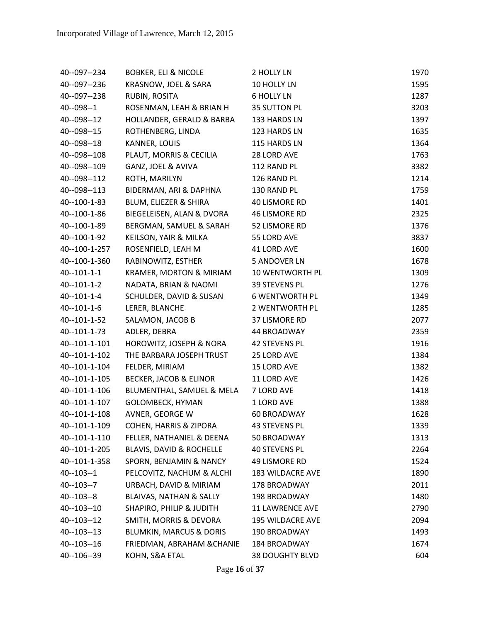| 40--097--234       | <b>BOBKER, ELI &amp; NICOLE</b>     | 2 HOLLY LN              | 1970 |
|--------------------|-------------------------------------|-------------------------|------|
| 40--097--236       | KRASNOW, JOEL & SARA                | 10 HOLLY LN             | 1595 |
| 40--097--238       | RUBIN, ROSITA                       | <b>6 HOLLY LN</b>       | 1287 |
| 40--098--1         | ROSENMAN, LEAH & BRIAN H            | 35 SUTTON PL            | 3203 |
| 40--098--12        | HOLLANDER, GERALD & BARBA           | 133 HARDS LN            | 1397 |
| 40--098--15        | ROTHENBERG, LINDA                   | 123 HARDS LN            | 1635 |
| 40--098--18        | KANNER, LOUIS                       | 115 HARDS LN            | 1364 |
| 40--098--108       | PLAUT, MORRIS & CECILIA             | 28 LORD AVE             | 1763 |
| 40--098--109       | GANZ, JOEL & AVIVA                  | 112 RAND PL             | 3382 |
| 40--098--112       | ROTH, MARILYN                       | 126 RAND PL             | 1214 |
| 40--098--113       | BIDERMAN, ARI & DAPHNA              | 130 RAND PL             | 1759 |
| 40--100-1-83       | BLUM, ELIEZER & SHIRA               | 40 LISMORE RD           | 1401 |
| 40--100-1-86       | BIEGELEISEN, ALAN & DVORA           | 46 LISMORE RD           | 2325 |
| 40--100-1-89       | BERGMAN, SAMUEL & SARAH             | 52 LISMORE RD           | 1376 |
| 40--100-1-92       | KEILSON, YAIR & MILKA               | 55 LORD AVE             | 3837 |
| 40--100-1-257      | ROSENFIELD, LEAH M                  | 41 LORD AVE             | 1600 |
| 40--100-1-360      | RABINOWITZ, ESTHER                  | <b>5 ANDOVER LN</b>     | 1678 |
| $40 - 101 - 1 - 1$ | KRAMER, MORTON & MIRIAM             | <b>10 WENTWORTH PL</b>  | 1309 |
| 40--101-1-2        | NADATA, BRIAN & NAOMI               | 39 STEVENS PL           | 1276 |
| $40 - 101 - 1 - 4$ | SCHULDER, DAVID & SUSAN             | <b>6 WENTWORTH PL</b>   | 1349 |
| $40 - 101 - 1 - 6$ | LERER, BLANCHE                      | 2 WENTWORTH PL          | 1285 |
| 40--101-1-52       | SALAMON, JACOB B                    | 37 LISMORE RD           | 2077 |
| 40--101-1-73       | ADLER, DEBRA                        | 44 BROADWAY             | 2359 |
| 40--101-1-101      | HOROWITZ, JOSEPH & NORA             | 42 STEVENS PL           | 1916 |
| 40--101-1-102      | THE BARBARA JOSEPH TRUST            | 25 LORD AVE             | 1384 |
| 40--101-1-104      | FELDER, MIRIAM                      | 15 LORD AVE             | 1382 |
| 40--101-1-105      | <b>BECKER, JACOB &amp; ELINOR</b>   | 11 LORD AVE             | 1426 |
| 40--101-1-106      | BLUMENTHAL, SAMUEL & MELA           | 7 LORD AVE              | 1418 |
| 40--101-1-107      | GOLOMBECK, HYMAN                    | 1 LORD AVE              | 1388 |
| 40--101-1-108      | AVNER, GEORGE W                     | 60 BROADWAY             | 1628 |
| 40--101-1-109      | <b>COHEN, HARRIS &amp; ZIPORA</b>   | <b>43 STEVENS PL</b>    | 1339 |
| 40--101-1-110      | FELLER, NATHANIEL & DEENA           | 50 BROADWAY             | 1313 |
| 40--101-1-205      | <b>BLAVIS, DAVID &amp; ROCHELLE</b> | <b>40 STEVENS PL</b>    | 2264 |
| 40--101-1-358      | SPORN, BENJAMIN & NANCY             | 49 LISMORE RD           | 1524 |
| $40 - 103 - 1$     | PELCOVITZ, NACHUM & ALCHI           | 183 WILDACRE AVE        | 1890 |
| $40 - 103 - 7$     | URBACH, DAVID & MIRIAM              | 178 BROADWAY            | 2011 |
| $40 - 103 - 8$     | <b>BLAIVAS, NATHAN &amp; SALLY</b>  | 198 BROADWAY            | 1480 |
| 40--103--10        | SHAPIRO, PHILIP & JUDITH            | <b>11 LAWRENCE AVE</b>  | 2790 |
| $40 - 103 - 12$    | SMITH, MORRIS & DEVORA              | <b>195 WILDACRE AVE</b> | 2094 |
| $40 - 103 - 13$    | <b>BLUMKIN, MARCUS &amp; DORIS</b>  | 190 BROADWAY            | 1493 |
| $40 - 103 - 16$    | FRIEDMAN, ABRAHAM & CHANIE          | 184 BROADWAY            | 1674 |
| 40--106--39        | KOHN, S&A ETAL                      | <b>38 DOUGHTY BLVD</b>  | 604  |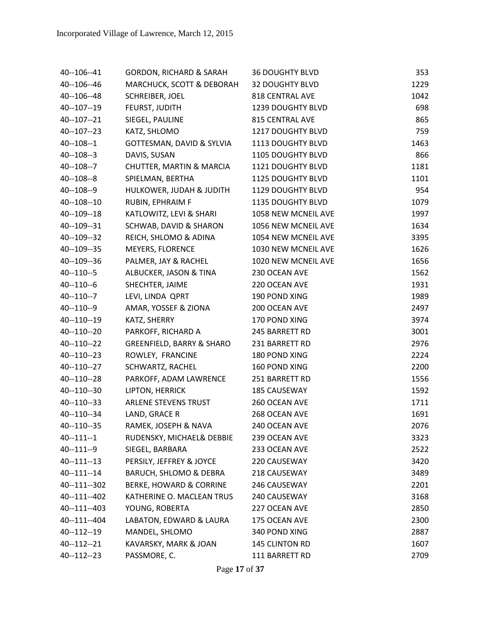| 40--106--41     | <b>GORDON, RICHARD &amp; SARAH</b>  | <b>36 DOUGHTY BLVD</b> | 353  |
|-----------------|-------------------------------------|------------------------|------|
| 40--106--46     | MARCHUCK, SCOTT & DEBORAH           | <b>32 DOUGHTY BLVD</b> | 1229 |
| 40--106--48     | SCHREIBER, JOEL                     | <b>818 CENTRAL AVE</b> | 1042 |
| 40--107--19     | FEURST, JUDITH                      | 1239 DOUGHTY BLVD      | 698  |
| 40--107--21     | SIEGEL, PAULINE                     | 815 CENTRAL AVE        | 865  |
| 40--107--23     | KATZ, SHLOMO                        | 1217 DOUGHTY BLVD      | 759  |
| $40 - 108 - 1$  | GOTTESMAN, DAVID & SYLVIA           | 1113 DOUGHTY BLVD      | 1463 |
| 40--108--3      | DAVIS, SUSAN                        | 1105 DOUGHTY BLVD      | 866  |
| 40--108--7      | <b>CHUTTER, MARTIN &amp; MARCIA</b> | 1121 DOUGHTY BLVD      | 1181 |
| 40--108--8      | SPIELMAN, BERTHA                    | 1125 DOUGHTY BLVD      | 1101 |
| 40--108--9      | HULKOWER, JUDAH & JUDITH            | 1129 DOUGHTY BLVD      | 954  |
| 40--108--10     | RUBIN, EPHRAIM F                    | 1135 DOUGHTY BLVD      | 1079 |
| 40--109--18     | KATLOWITZ, LEVI & SHARI             | 1058 NEW MCNEIL AVE    | 1997 |
| 40--109--31     | SCHWAB, DAVID & SHARON              | 1056 NEW MCNEIL AVE    | 1634 |
| 40--109--32     | REICH, SHLOMO & ADINA               | 1054 NEW MCNEIL AVE    | 3395 |
| 40--109--35     | MEYERS, FLORENCE                    | 1030 NEW MCNEIL AVE    | 1626 |
| 40--109--36     | PALMER, JAY & RACHEL                | 1020 NEW MCNEIL AVE    | 1656 |
| 40--110--5      | ALBUCKER, JASON & TINA              | 230 OCEAN AVE          | 1562 |
| $40 - 110 - 6$  | SHECHTER, JAIME                     | 220 OCEAN AVE          | 1931 |
| 40--110--7      | LEVI, LINDA QPRT                    | 190 POND XING          | 1989 |
| 40--110--9      | AMAR, YOSSEF & ZIONA                | 200 OCEAN AVE          | 2497 |
| 40--110--19     | KATZ, SHERRY                        | 170 POND XING          | 3974 |
| 40--110--20     | PARKOFF, RICHARD A                  | 245 BARRETT RD         | 3001 |
| 40--110--22     | GREENFIELD, BARRY & SHARO           | 231 BARRETT RD         | 2976 |
| 40--110--23     | ROWLEY, FRANCINE                    | 180 POND XING          | 2224 |
| 40--110--27     | SCHWARTZ, RACHEL                    | 160 POND XING          | 2200 |
| 40--110--28     | PARKOFF, ADAM LAWRENCE              | 251 BARRETT RD         | 1556 |
| 40--110--30     | LIPTON, HERRICK                     | 185 CAUSEWAY           | 1592 |
| 40--110--33     | ARLENE STEVENS TRUST                | 260 OCEAN AVE          | 1711 |
| 40--110--34     | LAND, GRACE R                       | 268 OCEAN AVE          | 1691 |
| 40--110--35     | RAMEK, JOSEPH & NAVA                | 240 OCEAN AVE          | 2076 |
| $40 - 111 - 1$  | RUDENSKY, MICHAEL& DEBBIE           | 239 OCEAN AVE          | 3323 |
| 40--111--9      | SIEGEL, BARBARA                     | 233 OCEAN AVE          | 2522 |
| $40 - 111 - 13$ | PERSILY, JEFFREY & JOYCE            | 220 CAUSEWAY           | 3420 |
| $40 - 111 - 14$ | <b>BARUCH, SHLOMO &amp; DEBRA</b>   | 218 CAUSEWAY           | 3489 |
| 40--111--302    | <b>BERKE, HOWARD &amp; CORRINE</b>  | 246 CAUSEWAY           | 2201 |
| 40--111--402    | KATHERINE O. MACLEAN TRUS           | 240 CAUSEWAY           | 3168 |
| 40--111--403    | YOUNG, ROBERTA                      | 227 OCEAN AVE          | 2850 |
| 40--111--404    | LABATON, EDWARD & LAURA             | 175 OCEAN AVE          | 2300 |
| 40--112--19     | MANDEL, SHLOMO                      | 340 POND XING          | 2887 |
| 40--112--21     | KAVARSKY, MARK & JOAN               | 145 CLINTON RD         | 1607 |
| 40--112--23     | PASSMORE, C.                        | 111 BARRETT RD         | 2709 |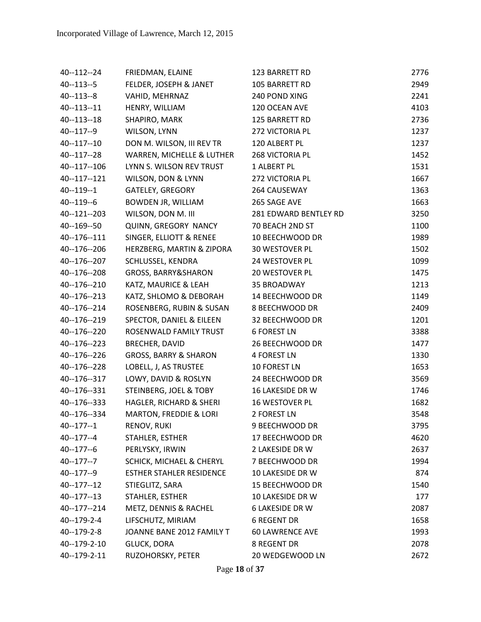| 40--112--24     | FRIEDMAN, ELAINE                  | 123 BARRETT RD         | 2776 |
|-----------------|-----------------------------------|------------------------|------|
| 40--113--5      | FELDER, JOSEPH & JANET            | 105 BARRETT RD         | 2949 |
| $40 - 113 - 8$  | VAHID, MEHRNAZ                    | 240 POND XING          | 2241 |
| $40 - 113 - 11$ | HENRY, WILLIAM                    | 120 OCEAN AVE          | 4103 |
| 40--113--18     | SHAPIRO, MARK                     | 125 BARRETT RD         | 2736 |
| 40--117--9      | WILSON, LYNN                      | 272 VICTORIA PL        | 1237 |
| 40--117--10     | DON M. WILSON, III REV TR         | 120 ALBERT PL          | 1237 |
| 40--117--28     | WARREN, MICHELLE & LUTHER         | 268 VICTORIA PL        | 1452 |
| 40--117--106    | LYNN S. WILSON REV TRUST          | 1 ALBERT PL            | 1531 |
| 40--117--121    | WILSON, DON & LYNN                | 272 VICTORIA PL        | 1667 |
| $40 - 119 - 1$  | GATELEY, GREGORY                  | 264 CAUSEWAY           | 1363 |
| 40--119--6      | BOWDEN JR, WILLIAM                | 265 SAGE AVE           | 1663 |
| 40--121--203    | WILSON, DON M. III                | 281 EDWARD BENTLEY RD  | 3250 |
| 40--169--50     | QUINN, GREGORY NANCY              | 70 BEACH 2ND ST        | 1100 |
| 40--176--111    | SINGER, ELLIOTT & RENEE           | 10 BEECHWOOD DR        | 1989 |
| 40--176--206    | HERZBERG, MARTIN & ZIPORA         | <b>30 WESTOVER PL</b>  | 1502 |
| 40--176--207    | SCHLUSSEL, KENDRA                 | 24 WESTOVER PL         | 1099 |
| 40--176--208    | GROSS, BARRY&SHARON               | <b>20 WESTOVER PL</b>  | 1475 |
| 40--176--210    | KATZ, MAURICE & LEAH              | 35 BROADWAY            | 1213 |
| 40--176--213    | KATZ, SHLOMO & DEBORAH            | 14 BEECHWOOD DR        | 1149 |
| 40--176--214    | ROSENBERG, RUBIN & SUSAN          | 8 BEECHWOOD DR         | 2409 |
| 40--176--219    | SPECTOR, DANIEL & EILEEN          | 32 BEECHWOOD DR        | 1201 |
| 40--176--220    | ROSENWALD FAMILY TRUST            | <b>6 FOREST LN</b>     | 3388 |
| 40--176--223    | <b>BRECHER, DAVID</b>             | 26 BEECHWOOD DR        | 1477 |
| 40--176--226    | <b>GROSS, BARRY &amp; SHARON</b>  | <b>4 FOREST LN</b>     | 1330 |
| 40--176--228    | LOBELL, J, AS TRUSTEE             | <b>10 FOREST LN</b>    | 1653 |
| 40--176--317    | LOWY, DAVID & ROSLYN              | 24 BEECHWOOD DR        | 3569 |
| 40--176--331    | STEINBERG, JOEL & TOBY            | 16 LAKESIDE DR W       | 1746 |
| 40--176--333    | HAGLER, RICHARD & SHERI           | 16 WESTOVER PL         | 1682 |
| 40--176--334    | <b>MARTON, FREDDIE &amp; LORI</b> | 2 FOREST LN            | 3548 |
| $40 - 177 - 1$  | RENOV, RUKI                       | 9 BEECHWOOD DR         | 3795 |
| $40 - 177 - 4$  | STAHLER, ESTHER                   | 17 BEECHWOOD DR        | 4620 |
| $40 - 177 - 6$  | PERLYSKY, IRWIN                   | 2 LAKESIDE DR W        | 2637 |
| $40 - 177 - 7$  | SCHICK, MICHAEL & CHERYL          | 7 BEECHWOOD DR         | 1994 |
| 40--177--9      | <b>ESTHER STAHLER RESIDENCE</b>   | 10 LAKESIDE DR W       | 874  |
| $40 - 177 - 12$ | STIEGLITZ, SARA                   | 15 BEECHWOOD DR        | 1540 |
| $40 - 177 - 13$ | STAHLER, ESTHER                   | 10 LAKESIDE DR W       | 177  |
| 40--177--214    | METZ, DENNIS & RACHEL             | <b>6 LAKESIDE DR W</b> | 2087 |
| 40--179-2-4     | LIFSCHUTZ, MIRIAM                 | <b>6 REGENT DR</b>     | 1658 |
| 40--179-2-8     | JOANNE BANE 2012 FAMILY T         | <b>60 LAWRENCE AVE</b> | 1993 |
| 40--179-2-10    | <b>GLUCK, DORA</b>                | <b>8 REGENT DR</b>     | 2078 |
| 40--179-2-11    | RUZOHORSKY, PETER                 | 20 WEDGEWOOD LN        | 2672 |
|                 |                                   |                        |      |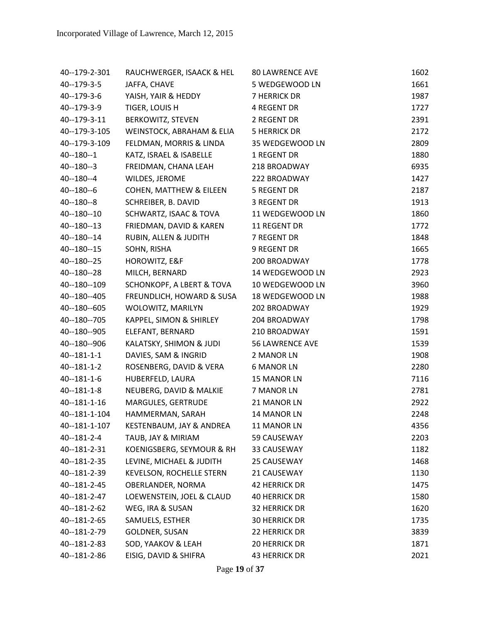| 40--179-2-301  | RAUCHWERGER, ISAACK & HEL | <b>80 LAWRENCE AVE</b> | 1602 |
|----------------|---------------------------|------------------------|------|
| 40--179-3-5    | JAFFA, CHAVE              | 5 WEDGEWOOD LN         | 1661 |
| 40--179-3-6    | YAISH, YAIR & HEDDY       | 7 HERRICK DR           | 1987 |
| 40--179-3-9    | TIGER, LOUIS H            | 4 REGENT DR            | 1727 |
| 40--179-3-11   | BERKOWITZ, STEVEN         | 2 REGENT DR            | 2391 |
| 40--179-3-105  | WEINSTOCK, ABRAHAM & ELIA | 5 HERRICK DR           | 2172 |
| 40--179-3-109  | FELDMAN, MORRIS & LINDA   | 35 WEDGEWOOD LN        | 2809 |
| $40 - 180 - 1$ | KATZ, ISRAEL & ISABELLE   | 1 REGENT DR            | 1880 |
| 40--180--3     | FREIDMAN, CHANA LEAH      | 218 BROADWAY           | 6935 |
| 40--180--4     | WILDES, JEROME            | 222 BROADWAY           | 1427 |
| 40--180--6     | COHEN, MATTHEW & EILEEN   | 5 REGENT DR            | 2187 |
| 40--180--8     | SCHREIBER, B. DAVID       | 3 REGENT DR            | 1913 |
| 40--180--10    | SCHWARTZ, ISAAC & TOVA    | 11 WEDGEWOOD LN        | 1860 |
| 40--180--13    | FRIEDMAN, DAVID & KAREN   | 11 REGENT DR           | 1772 |
| 40--180--14    | RUBIN, ALLEN & JUDITH     | 7 REGENT DR            | 1848 |
| 40--180--15    | SOHN, RISHA               | 9 REGENT DR            | 1665 |
| 40--180--25    | HOROWITZ, E&F             | 200 BROADWAY           | 1778 |
| 40--180--28    | MILCH, BERNARD            | 14 WEDGEWOOD LN        | 2923 |
| 40--180--109   | SCHONKOPF, A LBERT & TOVA | 10 WEDGEWOOD LN        | 3960 |
| 40--180--405   | FREUNDLICH, HOWARD & SUSA | 18 WEDGEWOOD LN        | 1988 |
| 40--180--605   | WOLOWITZ, MARILYN         | 202 BROADWAY           | 1929 |
| 40--180--705   | KAPPEL, SIMON & SHIRLEY   | 204 BROADWAY           | 1798 |
| 40--180--905   | ELEFANT, BERNARD          | 210 BROADWAY           | 1591 |
| 40--180--906   | KALATSKY, SHIMON & JUDI   | 56 LAWRENCE AVE        | 1539 |
| 40--181-1-1    | DAVIES, SAM & INGRID      | 2 MANOR LN             | 1908 |
| 40--181-1-2    | ROSENBERG, DAVID & VERA   | <b>6 MANOR LN</b>      | 2280 |
| 40--181-1-6    | HUBERFELD, LAURA          | 15 MANOR LN            | 7116 |
| 40--181-1-8    | NEUBERG, DAVID & MALKIE   | 7 MANOR LN             | 2781 |
| 40--181-1-16   | MARGULES, GERTRUDE        | 21 MANOR LN            | 2922 |
| 40--181-1-104  | HAMMERMAN, SARAH          | 14 MANOR LN            | 2248 |
| 40--181-1-107  | KESTENBAUM, JAY & ANDREA  | 11 MANOR LN            | 4356 |
| 40--181-2-4    | TAUB, JAY & MIRIAM        | 59 CAUSEWAY            | 2203 |
| 40--181-2-31   | KOENIGSBERG, SEYMOUR & RH | 33 CAUSEWAY            | 1182 |
| 40--181-2-35   | LEVINE, MICHAEL & JUDITH  | 25 CAUSEWAY            | 1468 |
| 40--181-2-39   | KEVELSON, ROCHELLE STERN  | 21 CAUSEWAY            | 1130 |
| 40--181-2-45   | OBERLANDER, NORMA         | <b>42 HERRICK DR</b>   | 1475 |
| 40--181-2-47   | LOEWENSTEIN, JOEL & CLAUD | <b>40 HERRICK DR</b>   | 1580 |
| 40--181-2-62   | WEG, IRA & SUSAN          | <b>32 HERRICK DR</b>   | 1620 |
| 40--181-2-65   | SAMUELS, ESTHER           | <b>30 HERRICK DR</b>   | 1735 |
| 40--181-2-79   | GOLDNER, SUSAN            | 22 HERRICK DR          | 3839 |
| 40--181-2-83   | SOD, YAAKOV & LEAH        | <b>20 HERRICK DR</b>   | 1871 |
| 40--181-2-86   | EISIG, DAVID & SHIFRA     | <b>43 HERRICK DR</b>   | 2021 |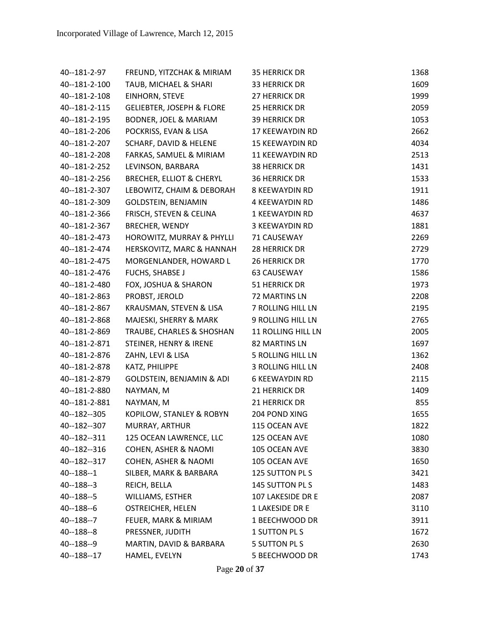| 40--181-2-97   | FREUND, YITZCHAK & MIRIAM            | <b>35 HERRICK DR</b>     | 1368 |
|----------------|--------------------------------------|--------------------------|------|
| 40--181-2-100  | TAUB, MICHAEL & SHARI                | 33 HERRICK DR            | 1609 |
| 40--181-2-108  | EINHORN, STEVE                       | 27 HERRICK DR            | 1999 |
| 40--181-2-115  | <b>GELIEBTER, JOSEPH &amp; FLORE</b> | 25 HERRICK DR            | 2059 |
| 40--181-2-195  | <b>BODNER, JOEL &amp; MARIAM</b>     | <b>39 HERRICK DR</b>     | 1053 |
| 40--181-2-206  | POCKRISS, EVAN & LISA                | 17 KEEWAYDIN RD          | 2662 |
| 40--181-2-207  | SCHARF, DAVID & HELENE               | <b>15 KEEWAYDIN RD</b>   | 4034 |
| 40--181-2-208  | FARKAS, SAMUEL & MIRIAM              | 11 KEEWAYDIN RD          | 2513 |
| 40--181-2-252  | LEVINSON, BARBARA                    | <b>38 HERRICK DR</b>     | 1431 |
| 40--181-2-256  | <b>BRECHER, ELLIOT &amp; CHERYL</b>  | <b>36 HERRICK DR</b>     | 1533 |
| 40--181-2-307  | LEBOWITZ, CHAIM & DEBORAH            | 8 KEEWAYDIN RD           | 1911 |
| 40--181-2-309  | <b>GOLDSTEIN, BENJAMIN</b>           | 4 KEEWAYDIN RD           | 1486 |
| 40--181-2-366  | FRISCH, STEVEN & CELINA              | 1 KEEWAYDIN RD           | 4637 |
| 40--181-2-367  | BRECHER, WENDY                       | 3 KEEWAYDIN RD           | 1881 |
| 40--181-2-473  | HOROWITZ, MURRAY & PHYLLI            | 71 CAUSEWAY              | 2269 |
| 40--181-2-474  | HERSKOVITZ, MARC & HANNAH            | 28 HERRICK DR            | 2729 |
| 40--181-2-475  | MORGENLANDER, HOWARD L               | <b>26 HERRICK DR</b>     | 1770 |
| 40--181-2-476  | FUCHS, SHABSE J                      | 63 CAUSEWAY              | 1586 |
| 40--181-2-480  | FOX, JOSHUA & SHARON                 | 51 HERRICK DR            | 1973 |
| 40--181-2-863  | PROBST, JEROLD                       | 72 MARTINS LN            | 2208 |
| 40--181-2-867  | KRAUSMAN, STEVEN & LISA              | 7 ROLLING HILL LN        | 2195 |
| 40--181-2-868  | MAJESKI, SHERRY & MARK               | 9 ROLLING HILL LN        | 2765 |
| 40--181-2-869  | TRAUBE, CHARLES & SHOSHAN            | 11 ROLLING HILL LN       | 2005 |
| 40--181-2-871  | STEINER, HENRY & IRENE               | 82 MARTINS LN            | 1697 |
| 40--181-2-876  | ZAHN, LEVI & LISA                    | <b>5 ROLLING HILL LN</b> | 1362 |
| 40--181-2-878  | KATZ, PHILIPPE                       | 3 ROLLING HILL LN        | 2408 |
| 40--181-2-879  | GOLDSTEIN, BENJAMIN & ADI            | <b>6 KEEWAYDIN RD</b>    | 2115 |
| 40--181-2-880  | NAYMAN, M                            | 21 HERRICK DR            | 1409 |
| 40--181-2-881  | NAYMAN, M                            | 21 HERRICK DR            | 855  |
| 40--182--305   | KOPILOW, STANLEY & ROBYN             | 204 POND XING            | 1655 |
| 40--182--307   | MURRAY, ARTHUR                       | 115 OCEAN AVE            | 1822 |
| 40--182--311   | 125 OCEAN LAWRENCE, LLC              | 125 OCEAN AVE            | 1080 |
| 40--182--316   | <b>COHEN, ASHER &amp; NAOMI</b>      | 105 OCEAN AVE            | 3830 |
| 40--182--317   | <b>COHEN, ASHER &amp; NAOMI</b>      | 105 OCEAN AVE            | 1650 |
| $40 - 188 - 1$ | SILBER, MARK & BARBARA               | 125 SUTTON PL S          | 3421 |
| $40 - 188 - 3$ | REICH, BELLA                         | 145 SUTTON PL S          | 1483 |
| $40 - 188 - 5$ | WILLIAMS, ESTHER                     | 107 LAKESIDE DR E        | 2087 |
| $40 - 188 - 6$ | <b>OSTREICHER, HELEN</b>             | 1 LAKESIDE DR E          | 3110 |
| 40--188--7     | FEUER, MARK & MIRIAM                 | 1 BEECHWOOD DR           | 3911 |
| 40--188--8     | PRESSNER, JUDITH                     | 1 SUTTON PL S            | 1672 |
| 40--188--9     | MARTIN, DAVID & BARBARA              | <b>5 SUTTON PL S</b>     | 2630 |
| 40--188--17    | HAMEL, EVELYN                        | 5 BEECHWOOD DR           | 1743 |
|                |                                      |                          |      |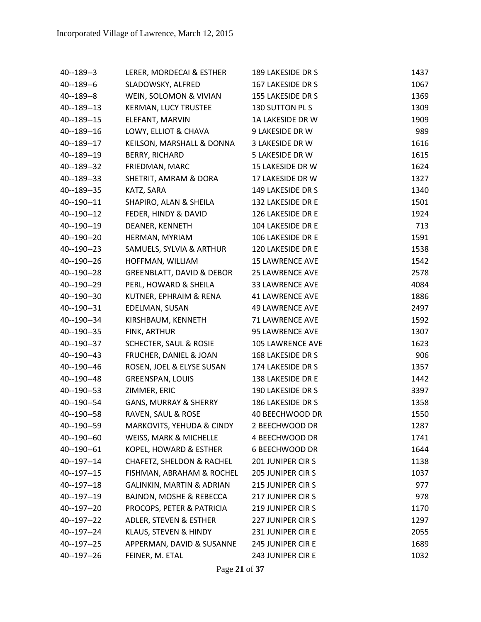| LERER, MORDECAI & ESTHER             | 189 LAKESIDE DR S       | 1437 |
|--------------------------------------|-------------------------|------|
| SLADOWSKY, ALFRED                    | 167 LAKESIDE DR S       | 1067 |
| WEIN, SOLOMON & VIVIAN               | 155 LAKESIDE DR S       | 1369 |
| <b>KERMAN, LUCY TRUSTEE</b>          | 130 SUTTON PL S         | 1309 |
| ELEFANT, MARVIN                      | 1A LAKESIDE DR W        | 1909 |
| LOWY, ELLIOT & CHAVA                 | 9 LAKESIDE DR W         | 989  |
| KEILSON, MARSHALL & DONNA            | 3 LAKESIDE DR W         | 1616 |
| <b>BERRY, RICHARD</b>                | 5 LAKESIDE DR W         | 1615 |
| FRIEDMAN, MARC                       | 15 LAKESIDE DR W        | 1624 |
| SHETRIT, AMRAM & DORA                | 17 LAKESIDE DR W        | 1327 |
| KATZ, SARA                           | 149 LAKESIDE DR S       | 1340 |
| SHAPIRO, ALAN & SHEILA               | 132 LAKESIDE DR E       | 1501 |
| FEDER, HINDY & DAVID                 | 126 LAKESIDE DR E       | 1924 |
| DEANER, KENNETH                      | 104 LAKESIDE DR E       | 713  |
| HERMAN, MYRIAM                       | 106 LAKESIDE DR E       | 1591 |
| SAMUELS, SYLVIA & ARTHUR             | 120 LAKESIDE DR E       | 1538 |
| HOFFMAN, WILLIAM                     | <b>15 LAWRENCE AVE</b>  | 1542 |
| <b>GREENBLATT, DAVID &amp; DEBOR</b> | <b>25 LAWRENCE AVE</b>  | 2578 |
| PERL, HOWARD & SHEILA                | 33 LAWRENCE AVE         | 4084 |
| KUTNER, EPHRAIM & RENA               | <b>41 LAWRENCE AVE</b>  | 1886 |
| EDELMAN, SUSAN                       | <b>49 LAWRENCE AVE</b>  | 2497 |
| KIRSHBAUM, KENNETH                   | 71 LAWRENCE AVE         | 1592 |
| FINK, ARTHUR                         | 95 LAWRENCE AVE         | 1307 |
| SCHECTER, SAUL & ROSIE               | <b>105 LAWRENCE AVE</b> | 1623 |
| FRUCHER, DANIEL & JOAN               | 168 LAKESIDE DR S       | 906  |
| ROSEN, JOEL & ELYSE SUSAN            | 174 LAKESIDE DR S       | 1357 |
| <b>GREENSPAN, LOUIS</b>              | 138 LAKESIDE DR E       | 1442 |
| ZIMMER, ERIC                         | 190 LAKESIDE DR S       | 3397 |
| <b>GANS, MURRAY &amp; SHERRY</b>     | 186 LAKESIDE DR S       | 1358 |
| RAVEN, SAUL & ROSE                   | 40 BEECHWOOD DR         | 1550 |
| MARKOVITS, YEHUDA & CINDY            | 2 BEECHWOOD DR          | 1287 |
| WEISS, MARK & MICHELLE               | 4 BEECHWOOD DR          | 1741 |
| KOPEL, HOWARD & ESTHER               | 6 BEECHWOOD DR          | 1644 |
| CHAFETZ, SHELDON & RACHEL            | 201 JUNIPER CIRS        | 1138 |
| FISHMAN, ABRAHAM & ROCHEL            | <b>205 JUNIPER CIRS</b> | 1037 |
| <b>GALINKIN, MARTIN &amp; ADRIAN</b> | 215 JUNIPER CIRS        | 977  |
| <b>BAJNON, MOSHE &amp; REBECCA</b>   | 217 JUNIPER CIRS        | 978  |
| PROCOPS, PETER & PATRICIA            | 219 JUNIPER CIRS        | 1170 |
| ADLER, STEVEN & ESTHER               | 227 JUNIPER CIRS        | 1297 |
| KLAUS, STEVEN & HINDY                | 231 JUNIPER CIR E       | 2055 |
| APPERMAN, DAVID & SUSANNE            | 245 JUNIPER CIR E       | 1689 |
| FEINER, M. ETAL                      | 243 JUNIPER CIR E       | 1032 |
|                                      |                         |      |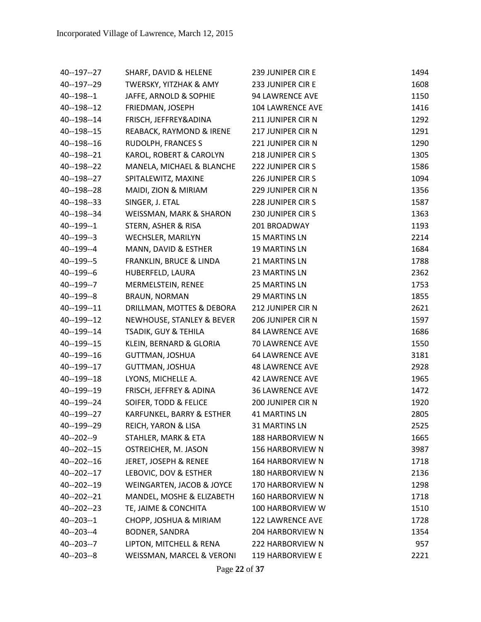| 40--197--27    | SHARF, DAVID & HELENE     | 239 JUNIPER CIR E       | 1494 |
|----------------|---------------------------|-------------------------|------|
| 40--197--29    | TWERSKY, YITZHAK & AMY    | 233 JUNIPER CIR E       | 1608 |
| $40 - 198 - 1$ | JAFFE, ARNOLD & SOPHIE    | 94 LAWRENCE AVE         | 1150 |
| 40--198--12    | FRIEDMAN, JOSEPH          | <b>104 LAWRENCE AVE</b> | 1416 |
| 40--198--14    | FRISCH, JEFFREY&ADINA     | 211 JUNIPER CIR N       | 1292 |
| 40--198--15    | REABACK, RAYMOND & IRENE  | 217 JUNIPER CIR N       | 1291 |
| 40--198--16    | RUDOLPH, FRANCES S        | 221 JUNIPER CIR N       | 1290 |
| 40--198--21    | KAROL, ROBERT & CAROLYN   | 218 JUNIPER CIRS        | 1305 |
| 40--198--22    | MANELA, MICHAEL & BLANCHE | 222 JUNIPER CIRS        | 1586 |
| 40--198--27    | SPITALEWITZ, MAXINE       | 226 JUNIPER CIRS        | 1094 |
| 40--198--28    | MAIDI, ZION & MIRIAM      | 229 JUNIPER CIR N       | 1356 |
| 40--198--33    | SINGER, J. ETAL           | 228 JUNIPER CIRS        | 1587 |
| 40--198--34    | WEISSMAN, MARK & SHARON   | 230 JUNIPER CIRS        | 1363 |
| 40--199--1     | STERN, ASHER & RISA       | 201 BROADWAY            | 1193 |
| 40--199--3     | WECHSLER, MARILYN         | <b>15 MARTINS LN</b>    | 2214 |
| 40--199--4     | MANN, DAVID & ESTHER      | <b>19 MARTINS LN</b>    | 1684 |
| 40--199--5     | FRANKLIN, BRUCE & LINDA   | 21 MARTINS LN           | 1788 |
| 40--199--6     | HUBERFELD, LAURA          | 23 MARTINS LN           | 2362 |
| 40--199--7     | MERMELSTEIN, RENEE        | 25 MARTINS LN           | 1753 |
| 40--199--8     | <b>BRAUN, NORMAN</b>      | <b>29 MARTINS LN</b>    | 1855 |
| 40--199--11    | DRILLMAN, MOTTES & DEBORA | 212 JUNIPER CIR N       | 2621 |
| 40--199--12    | NEWHOUSE, STANLEY & BEVER | 206 JUNIPER CIR N       | 1597 |
| 40--199--14    | TSADIK, GUY & TEHILA      | <b>84 LAWRENCE AVE</b>  | 1686 |
| 40--199--15    | KLEIN, BERNARD & GLORIA   | 70 LAWRENCE AVE         | 1550 |
| 40--199--16    | GUTTMAN, JOSHUA           | <b>64 LAWRENCE AVE</b>  | 3181 |
| 40--199--17    | GUTTMAN, JOSHUA           | <b>48 LAWRENCE AVE</b>  | 2928 |
| 40--199--18    | LYONS, MICHELLE A.        | <b>42 LAWRENCE AVE</b>  | 1965 |
| 40--199--19    | FRISCH, JEFFREY & ADINA   | <b>36 LAWRENCE AVE</b>  | 1472 |
| 40--199--24    | SOIFER, TODD & FELICE     | 200 JUNIPER CIR N       | 1920 |
| 40--199--27    | KARFUNKEL, BARRY & ESTHER | <b>41 MARTINS LN</b>    | 2805 |
| 40--199--29    | REICH, YARON & LISA       | 31 MARTINS LN           | 2525 |
| 40--202--9     | STAHLER, MARK & ETA       | <b>188 HARBORVIEW N</b> | 1665 |
| 40--202--15    | OSTREICHER, M. JASON      | 156 HARBORVIEW N        | 3987 |
| 40--202--16    | JERET, JOSEPH & RENEE     | 164 HARBORVIEW N        | 1718 |
| 40--202--17    | LEBOVIC, DOV & ESTHER     | <b>180 HARBORVIEW N</b> | 2136 |
| 40--202--19    | WEINGARTEN, JACOB & JOYCE | 170 HARBORVIEW N        | 1298 |
| 40--202--21    | MANDEL, MOSHE & ELIZABETH | 160 HARBORVIEW N        | 1718 |
| 40--202--23    | TE, JAIME & CONCHITA      | 100 HARBORVIEW W        | 1510 |
| $40 - 203 - 1$ | CHOPP, JOSHUA & MIRIAM    | 122 LAWRENCE AVE        | 1728 |
| $40 - 203 - 4$ | <b>BODNER, SANDRA</b>     | 204 HARBORVIEW N        | 1354 |
| $40 - 203 - 7$ | LIPTON, MITCHELL & RENA   | 222 HARBORVIEW N        | 957  |
| $40 - 203 - 8$ | WEISSMAN, MARCEL & VERONI | 119 HARBORVIEW E        | 2221 |
|                |                           |                         |      |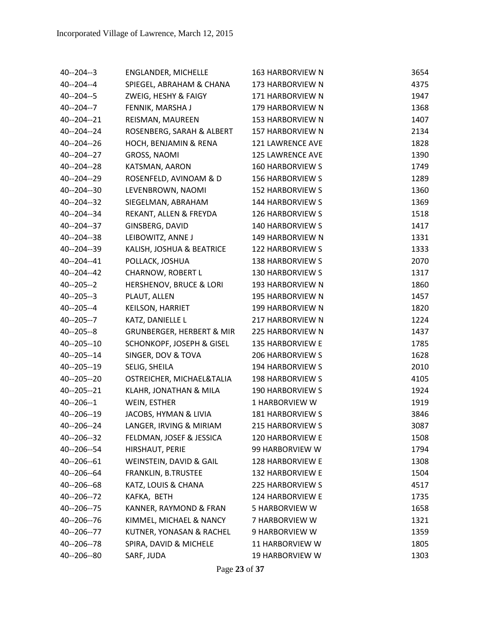| 40--204--3     | ENGLANDER, MICHELLE                  | 163 HARBORVIEW N        | 3654 |
|----------------|--------------------------------------|-------------------------|------|
| 40--204--4     | SPIEGEL, ABRAHAM & CHANA             | 173 HARBORVIEW N        | 4375 |
| 40--204--5     | ZWEIG, HESHY & FAIGY                 | 171 HARBORVIEW N        | 1947 |
| 40--204--7     | FENNIK, MARSHA J                     | 179 HARBORVIEW N        | 1368 |
| 40--204--21    | REISMAN, MAUREEN                     | 153 HARBORVIEW N        | 1407 |
| 40--204--24    | ROSENBERG, SARAH & ALBERT            | 157 HARBORVIEW N        | 2134 |
| 40--204--26    | HOCH, BENJAMIN & RENA                | 121 LAWRENCE AVE        | 1828 |
| 40--204--27    | GROSS, NAOMI                         | <b>125 LAWRENCE AVE</b> | 1390 |
| 40--204--28    | KATSMAN, AARON                       | <b>160 HARBORVIEW S</b> | 1749 |
| 40--204--29    | ROSENFELD, AVINOAM & D               | <b>156 HARBORVIEW S</b> | 1289 |
| 40--204--30    | LEVENBROWN, NAOMI                    | <b>152 HARBORVIEW S</b> | 1360 |
| 40--204--32    | SIEGELMAN, ABRAHAM                   | 144 HARBORVIEW S        | 1369 |
| 40--204--34    | REKANT, ALLEN & FREYDA               | 126 HARBORVIEW S        | 1518 |
| 40--204--37    | GINSBERG, DAVID                      | 140 HARBORVIEW S        | 1417 |
| 40--204--38    | LEIBOWITZ, ANNE J                    | 149 HARBORVIEW N        | 1331 |
| 40--204--39    | KALISH, JOSHUA & BEATRICE            | 122 HARBORVIEW S        | 1333 |
| 40--204--41    | POLLACK, JOSHUA                      | <b>138 HARBORVIEW S</b> | 2070 |
| 40--204--42    | CHARNOW, ROBERT L                    | 130 HARBORVIEW S        | 1317 |
| $40 - 205 - 2$ | HERSHENOV, BRUCE & LORI              | 193 HARBORVIEW N        | 1860 |
| 40--205--3     | PLAUT, ALLEN                         | <b>195 HARBORVIEW N</b> | 1457 |
| 40--205--4     | KEILSON, HARRIET                     | 199 HARBORVIEW N        | 1820 |
| 40--205--7     | KATZ, DANIELLE L                     | 217 HARBORVIEW N        | 1224 |
| 40--205--8     | <b>GRUNBERGER, HERBERT &amp; MIR</b> | 225 HARBORVIEW N        | 1437 |
| 40--205--10    | SCHONKOPF, JOSEPH & GISEL            | 135 HARBORVIEW E        | 1785 |
| 40--205--14    | SINGER, DOV & TOVA                   | 206 HARBORVIEW S        | 1628 |
| 40--205--19    | SELIG, SHEILA                        | 194 HARBORVIEW S        | 2010 |
| 40--205--20    | OSTREICHER, MICHAEL&TALIA            | <b>198 HARBORVIEW S</b> | 4105 |
| 40--205--21    | KLAHR, JONATHAN & MILA               | <b>190 HARBORVIEW S</b> | 1924 |
| $40 - 206 - 1$ | WEIN, ESTHER                         | 1 HARBORVIEW W          | 1919 |
| 40--206--19    | JACOBS, HYMAN & LIVIA                | 181 HARBORVIEW S        | 3846 |
| 40--206--24    | LANGER, IRVING & MIRIAM              | 215 HARBORVIEW S        | 3087 |
| 40--206--32    | FELDMAN, JOSEF & JESSICA             | 120 HARBORVIEW E        | 1508 |
| 40--206--54    | HIRSHAUT, PERIE                      | 99 HARBORVIEW W         | 1794 |
| 40--206--61    | WEINSTEIN, DAVID & GAIL              | <b>128 HARBORVIEW E</b> | 1308 |
| 40--206--64    | FRANKLIN, B.TRUSTEE                  | <b>132 HARBORVIEW E</b> | 1504 |
| 40--206--68    | KATZ, LOUIS & CHANA                  | 225 HARBORVIEW S        | 4517 |
| 40--206--72    | KAFKA, BETH                          | 124 HARBORVIEW E        | 1735 |
| 40--206--75    | KANNER, RAYMOND & FRAN               | 5 HARBORVIEW W          | 1658 |
| 40--206--76    | KIMMEL, MICHAEL & NANCY              | 7 HARBORVIEW W          | 1321 |
| 40--206--77    | KUTNER, YONASAN & RACHEL             | 9 HARBORVIEW W          | 1359 |
| 40--206--78    | SPIRA, DAVID & MICHELE               | 11 HARBORVIEW W         | 1805 |
| 40--206--80    | SARF, JUDA                           | 19 HARBORVIEW W         | 1303 |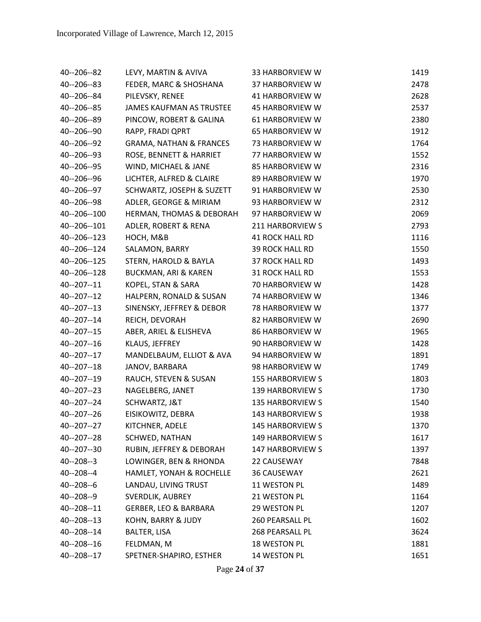| 40--206--82    | LEVY, MARTIN & AVIVA               | 33 HARBORVIEW W         | 1419 |
|----------------|------------------------------------|-------------------------|------|
| 40--206--83    | FEDER, MARC & SHOSHANA             | 37 HARBORVIEW W         | 2478 |
| 40--206--84    | PILEVSKY, RENEE                    | 41 HARBORVIEW W         | 2628 |
| 40--206--85    | <b>JAMES KAUFMAN AS TRUSTEE</b>    | 45 HARBORVIEW W         | 2537 |
| 40--206--89    | PINCOW, ROBERT & GALINA            | 61 HARBORVIEW W         | 2380 |
| 40--206--90    | RAPP, FRADI QPRT                   | <b>65 HARBORVIEW W</b>  | 1912 |
| 40--206--92    | <b>GRAMA, NATHAN &amp; FRANCES</b> | 73 HARBORVIEW W         | 1764 |
| 40--206--93    | ROSE, BENNETT & HARRIET            | 77 HARBORVIEW W         | 1552 |
| 40--206--95    | WIND, MICHAEL & JANE               | 85 HARBORVIEW W         | 2316 |
| 40--206--96    | LICHTER, ALFRED & CLAIRE           | 89 HARBORVIEW W         | 1970 |
| 40--206--97    | SCHWARTZ, JOSEPH & SUZETT          | 91 HARBORVIEW W         | 2530 |
| 40--206--98    | ADLER, GEORGE & MIRIAM             | 93 HARBORVIEW W         | 2312 |
| 40--206--100   | HERMAN, THOMAS & DEBORAH           | 97 HARBORVIEW W         | 2069 |
| 40--206--101   | ADLER, ROBERT & RENA               | 211 HARBORVIEW S        | 2793 |
| 40--206--123   | HOCH, M&B                          | <b>41 ROCK HALL RD</b>  | 1116 |
| 40--206--124   | SALAMON, BARRY                     | 39 ROCK HALL RD         | 1550 |
| 40--206--125   | STERN, HAROLD & BAYLA              | 37 ROCK HALL RD         | 1493 |
| 40--206--128   | <b>BUCKMAN, ARI &amp; KAREN</b>    | 31 ROCK HALL RD         | 1553 |
| 40--207--11    | KOPEL, STAN & SARA                 | 70 HARBORVIEW W         | 1428 |
| 40--207--12    | HALPERN, RONALD & SUSAN            | 74 HARBORVIEW W         | 1346 |
| 40--207--13    | SINENSKY, JEFFREY & DEBOR          | 78 HARBORVIEW W         | 1377 |
| 40--207--14    | REICH, DEVORAH                     | 82 HARBORVIEW W         | 2690 |
| 40--207--15    | ABER, ARIEL & ELISHEVA             | 86 HARBORVIEW W         | 1965 |
| 40--207--16    | KLAUS, JEFFREY                     | 90 HARBORVIEW W         | 1428 |
| 40--207--17    | MANDELBAUM, ELLIOT & AVA           | 94 HARBORVIEW W         | 1891 |
| 40--207--18    | JANOV, BARBARA                     | 98 HARBORVIEW W         | 1749 |
| 40--207--19    | RAUCH, STEVEN & SUSAN              | <b>155 HARBORVIEW S</b> | 1803 |
| 40--207--23    | NAGELBERG, JANET                   | 139 HARBORVIEW S        | 1730 |
| 40--207--24    | SCHWARTZ, J&T                      | <b>135 HARBORVIEW S</b> | 1540 |
| 40--207--26    | EISIKOWITZ, DEBRA                  | 143 HARBORVIEW S        | 1938 |
| 40--207--27    | KITCHNER, ADELE                    | <b>145 HARBORVIEW S</b> | 1370 |
| 40--207--28    | <b>SCHWED, NATHAN</b>              | 149 HARBORVIEW S        | 1617 |
| 40--207--30    | RUBIN, JEFFREY & DEBORAH           | 147 HARBORVIEW S        | 1397 |
| $40 - 208 - 3$ | LOWINGER, BEN & RHONDA             | 22 CAUSEWAY             | 7848 |
| 40--208--4     | HAMLET, YONAH & ROCHELLE           | <b>36 CAUSEWAY</b>      | 2621 |
| 40--208--6     | LANDAU, LIVING TRUST               | 11 WESTON PL            | 1489 |
| 40--208--9     | SVERDLIK, AUBREY                   | 21 WESTON PL            | 1164 |
| 40--208--11    | GERBER, LEO & BARBARA              | 29 WESTON PL            | 1207 |
| 40--208--13    | KOHN, BARRY & JUDY                 | 260 PEARSALL PL         | 1602 |
| 40--208--14    | BALTER, LISA                       | 268 PEARSALL PL         | 3624 |
| 40--208--16    | FELDMAN, M                         | 18 WESTON PL            | 1881 |
| 40--208--17    | SPETNER-SHAPIRO, ESTHER            | 14 WESTON PL            | 1651 |
|                |                                    |                         |      |

Page **24** of **37**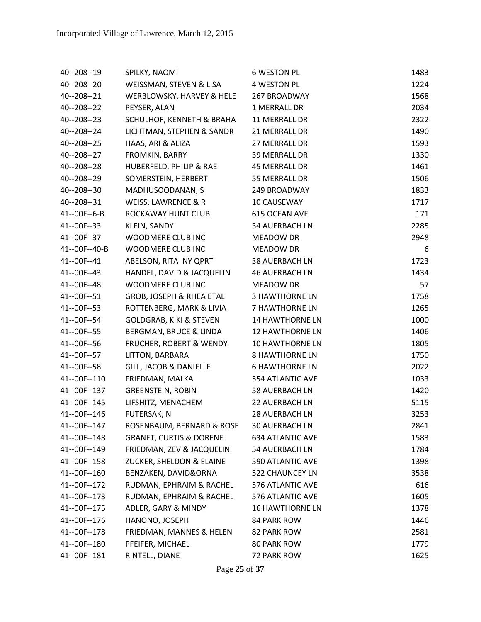| 40--208--19   | SPILKY, NAOMI                      | <b>6 WESTON PL</b>      | 1483 |
|---------------|------------------------------------|-------------------------|------|
| 40--208--20   | WEISSMAN, STEVEN & LISA            | 4 WESTON PL             | 1224 |
| 40--208--21   | WERBLOWSKY, HARVEY & HELE          | 267 BROADWAY            | 1568 |
| 40--208--22   | PEYSER, ALAN                       | 1 MERRALL DR            | 2034 |
| 40--208--23   | SCHULHOF, KENNETH & BRAHA          | 11 MERRALL DR           | 2322 |
| 40--208--24   | LICHTMAN, STEPHEN & SANDR          | 21 MERRALL DR           | 1490 |
| 40--208--25   | HAAS, ARI & ALIZA                  | 27 MERRALL DR           | 1593 |
| 40--208--27   | FROMKIN, BARRY                     | 39 MERRALL DR           | 1330 |
| 40--208--28   | HUBERFELD, PHILIP & RAE            | <b>45 MERRALL DR</b>    | 1461 |
| 40--208--29   | SOMERSTEIN, HERBERT                | 55 MERRALL DR           | 1506 |
| 40--208--30   | MADHUSOODANAN, S                   | 249 BROADWAY            | 1833 |
| 40--208--31   | WEISS, LAWRENCE & R                | <b>10 CAUSEWAY</b>      | 1717 |
| 41--00E--6-B  | ROCKAWAY HUNT CLUB                 | 615 OCEAN AVE           | 171  |
| 41--00F--33   | KLEIN, SANDY                       | <b>34 AUERBACH LN</b>   | 2285 |
| 41--00F--37   | WOODMERE CLUB INC                  | <b>MEADOW DR</b>        | 2948 |
| 41--00F--40-B | <b>WOODMERE CLUB INC</b>           | MEADOW DR               | 6    |
| 41--00F--41   | ABELSON, RITA NY QPRT              | 38 AUERBACH LN          | 1723 |
| 41--00F--43   | HANDEL, DAVID & JACQUELIN          | <b>46 AUERBACH LN</b>   | 1434 |
| 41--00F--48   | WOODMERE CLUB INC                  | <b>MEADOW DR</b>        | 57   |
| 41--00F--51   | GROB, JOSEPH & RHEA ETAL           | <b>3 HAWTHORNE LN</b>   | 1758 |
| 41--00F--53   | ROTTENBERG, MARK & LIVIA           | <b>7 HAWTHORNE LN</b>   | 1265 |
| 41--00F--54   | <b>GOLDGRAB, KIKI &amp; STEVEN</b> | <b>14 HAWTHORNE LN</b>  | 1000 |
| 41--00F--55   | BERGMAN, BRUCE & LINDA             | <b>12 HAWTHORNE LN</b>  | 1406 |
| 41--00F--56   | FRUCHER, ROBERT & WENDY            | <b>10 HAWTHORNE LN</b>  | 1805 |
| 41--00F--57   | LITTON, BARBARA                    | <b>8 HAWTHORNE LN</b>   | 1750 |
| 41--00F--58   | GILL, JACOB & DANIELLE             | <b>6 HAWTHORNE LN</b>   | 2022 |
| 41--00F--110  | FRIEDMAN, MALKA                    | <b>554 ATLANTIC AVE</b> | 1033 |
| 41--00F--137  | <b>GREENSTEIN, ROBIN</b>           | 58 AUERBACH LN          | 1420 |
| 41--00F--145  | LIFSHITZ, MENACHEM                 | 22 AUERBACH LN          | 5115 |
| 41--00F--146  | FUTERSAK, N                        | 28 AUERBACH LN          | 3253 |
| 41--00F--147  | ROSENBAUM, BERNARD & ROSE          | <b>30 AUERBACH LN</b>   | 2841 |
| 41--00F--148  | <b>GRANET, CURTIS &amp; DORENE</b> | <b>634 ATLANTIC AVE</b> | 1583 |
| 41--00F--149  | FRIEDMAN, ZEV & JACQUELIN          | 54 AUERBACH LN          | 1784 |
| 41--00F--158  | ZUCKER, SHELDON & ELAINE           | 590 ATLANTIC AVE        | 1398 |
| 41--00F--160  | BENZAKEN, DAVID&ORNA               | <b>522 CHAUNCEY LN</b>  | 3538 |
| 41--00F--172  | RUDMAN, EPHRAIM & RACHEL           | 576 ATLANTIC AVE        | 616  |
| 41--00F--173  | RUDMAN, EPHRAIM & RACHEL           | 576 ATLANTIC AVE        | 1605 |
| 41--00F--175  | ADLER, GARY & MINDY                | <b>16 HAWTHORNE LN</b>  | 1378 |
| 41--00F--176  | HANONO, JOSEPH                     | 84 PARK ROW             | 1446 |
| 41--00F--178  | FRIEDMAN, MANNES & HELEN           | 82 PARK ROW             | 2581 |
| 41--00F--180  | PFEIFER, MICHAEL                   | 80 PARK ROW             | 1779 |
| 41--00F--181  | RINTELL, DIANE                     | 72 PARK ROW             | 1625 |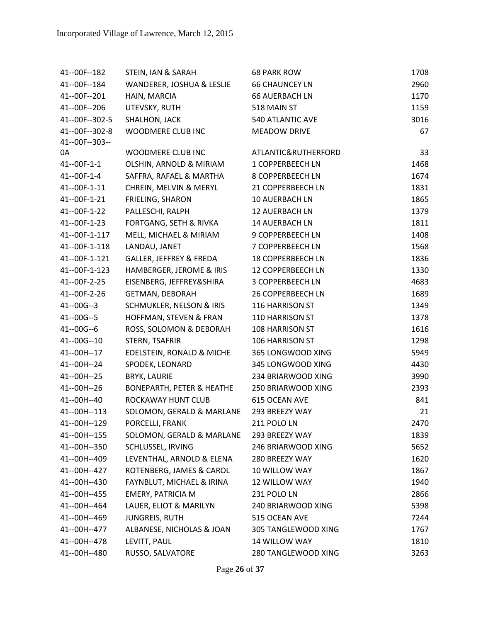| 41--00F--182   | STEIN, IAN & SARAH                   | <b>68 PARK ROW</b>       | 1708 |
|----------------|--------------------------------------|--------------------------|------|
| 41--00F--184   | WANDERER, JOSHUA & LESLIE            | <b>66 CHAUNCEY LN</b>    | 2960 |
| 41--00F--201   | HAIN, MARCIA                         | <b>66 AUERBACH LN</b>    | 1170 |
| 41--00F--206   | UTEVSKY, RUTH                        | 518 MAIN ST              | 1159 |
| 41--00F--302-5 | SHALHON, JACK                        | 540 ATLANTIC AVE         | 3016 |
| 41--00F--302-8 | WOODMERE CLUB INC                    | <b>MEADOW DRIVE</b>      | 67   |
| 41--00F--303-- |                                      |                          |      |
| 0A             | <b>WOODMERE CLUB INC</b>             | ATLANTIC&RUTHERFORD      | 33   |
| 41--00F-1-1    | OLSHIN, ARNOLD & MIRIAM              | 1 COPPERBEECH LN         | 1468 |
| 41--00F-1-4    | SAFFRA, RAFAEL & MARTHA              | 8 COPPERBEECH LN         | 1674 |
| 41--00F-1-11   | CHREIN, MELVIN & MERYL               | 21 COPPERBEECH LN        | 1831 |
| 41--00F-1-21   | FRIELING, SHARON                     | 10 AUERBACH LN           | 1865 |
| 41--00F-1-22   | PALLESCHI, RALPH                     | <b>12 AUERBACH LN</b>    | 1379 |
| 41--00F-1-23   | FORTGANG, SETH & RIVKA               | 14 AUERBACH LN           | 1811 |
| 41--00F-1-117  | MELL, MICHAEL & MIRIAM               | 9 COPPERBEECH LN         | 1408 |
| 41--00F-1-118  | LANDAU, JANET                        | 7 COPPERBEECH LN         | 1568 |
| 41--00F-1-121  | GALLER, JEFFREY & FREDA              | <b>18 COPPERBEECH LN</b> | 1836 |
| 41--00F-1-123  | HAMBERGER, JEROME & IRIS             | 12 COPPERBEECH LN        | 1330 |
| 41--00F-2-25   | EISENBERG, JEFFREY&SHIRA             | 3 COPPERBEECH LN         | 4683 |
| 41--00F-2-26   | <b>GETMAN, DEBORAH</b>               | <b>26 COPPERBEECH LN</b> | 1689 |
| $41 - 00G - 3$ | <b>SCHMUKLER, NELSON &amp; IRIS</b>  | 116 HARRISON ST          | 1349 |
| 41--00G--5     | HOFFMAN, STEVEN & FRAN               | 110 HARRISON ST          | 1378 |
| 41--00G--6     | ROSS, SOLOMON & DEBORAH              | 108 HARRISON ST          | 1616 |
| 41--00G--10    | STERN, TSAFRIR                       | 106 HARRISON ST          | 1298 |
| 41--00H--17    | EDELSTEIN, RONALD & MICHE            | 365 LONGWOOD XING        | 5949 |
| 41--00H--24    | SPODEK, LEONARD                      | 345 LONGWOOD XING        | 4430 |
| 41--00H--25    | <b>BRYK, LAURIE</b>                  | 234 BRIARWOOD XING       | 3990 |
| 41--00H--26    | <b>BONEPARTH, PETER &amp; HEATHE</b> | 250 BRIARWOOD XING       | 2393 |
| 41--00H--40    | ROCKAWAY HUNT CLUB                   | 615 OCEAN AVE            | 841  |
| 41--00H--113   | SOLOMON, GERALD & MARLANE            | 293 BREEZY WAY           | 21   |
| 41--00H--129   | PORCELLI, FRANK                      | 211 POLO LN              | 2470 |
| 41--00H--155   | SOLOMON, GERALD & MARLANE            | 293 BREEZY WAY           | 1839 |
| 41--00H--350   | SCHLUSSEL, IRVING                    | 246 BRIARWOOD XING       | 5652 |
| 41--00H--409   | LEVENTHAL, ARNOLD & ELENA            | 280 BREEZY WAY           | 1620 |
| 41--00H--427   | ROTENBERG, JAMES & CAROL             | 10 WILLOW WAY            | 1867 |
| 41--00H--430   | FAYNBLUT, MICHAEL & IRINA            | <b>12 WILLOW WAY</b>     | 1940 |
| 41--00H--455   | EMERY, PATRICIA M                    | 231 POLO LN              | 2866 |
| 41--00H--464   | LAUER, ELIOT & MARILYN               | 240 BRIARWOOD XING       | 5398 |
| 41--00H--469   | JUNGREIS, RUTH                       | 515 OCEAN AVE            | 7244 |
| 41--00H--477   | ALBANESE, NICHOLAS & JOAN            | 305 TANGLEWOOD XING      | 1767 |
| 41--00H--478   | LEVITT, PAUL                         | 14 WILLOW WAY            | 1810 |
| 41--00H--480   | RUSSO, SALVATORE                     | 280 TANGLEWOOD XING      | 3263 |
|                |                                      |                          |      |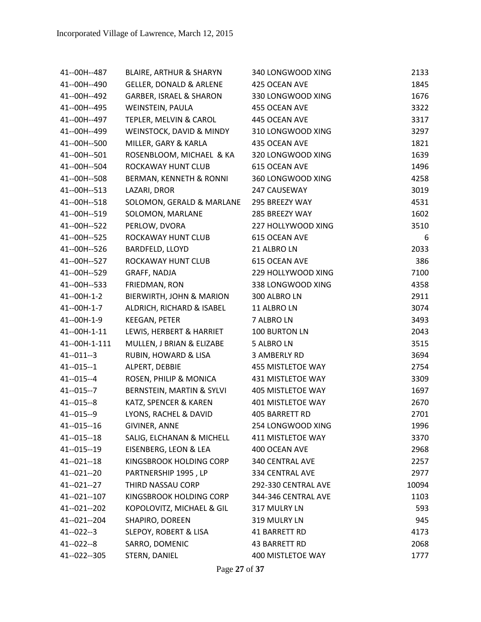| 41--00H--487    | <b>BLAIRE, ARTHUR &amp; SHARYN</b> | 340 LONGWOOD XING     | 2133  |
|-----------------|------------------------------------|-----------------------|-------|
| 41--00H--490    | <b>GELLER, DONALD &amp; ARLENE</b> | 425 OCEAN AVE         | 1845  |
| 41--00H--492    | <b>GARBER, ISRAEL &amp; SHARON</b> | 330 LONGWOOD XING     | 1676  |
| 41--00H--495    | WEINSTEIN, PAULA                   | 455 OCEAN AVE         | 3322  |
| 41--00H--497    | TEPLER, MELVIN & CAROL             | 445 OCEAN AVE         | 3317  |
| 41--00H--499    | WEINSTOCK, DAVID & MINDY           | 310 LONGWOOD XING     | 3297  |
| 41--00H--500    | MILLER, GARY & KARLA               | 435 OCEAN AVE         | 1821  |
| 41--00H--501    | ROSENBLOOM, MICHAEL & KA           | 320 LONGWOOD XING     | 1639  |
| 41--00H--504    | ROCKAWAY HUNT CLUB                 | 615 OCEAN AVE         | 1496  |
| 41--00H--508    | BERMAN, KENNETH & RONNI            | 360 LONGWOOD XING     | 4258  |
| 41--00H--513    | LAZARI, DROR                       | 247 CAUSEWAY          | 3019  |
| 41--00H--518    | SOLOMON, GERALD & MARLANE          | 295 BREEZY WAY        | 4531  |
| 41--00H--519    | SOLOMON, MARLANE                   | 285 BREEZY WAY        | 1602  |
| 41--00H--522    | PERLOW, DVORA                      | 227 HOLLYWOOD XING    | 3510  |
| 41--00H--525    | ROCKAWAY HUNT CLUB                 | 615 OCEAN AVE         | 6     |
| 41--00H--526    | BARDFELD, LLOYD                    | 21 ALBRO LN           | 2033  |
| 41--00H--527    | ROCKAWAY HUNT CLUB                 | 615 OCEAN AVE         | 386   |
| 41--00H--529    | GRAFF, NADJA                       | 229 HOLLYWOOD XING    | 7100  |
| 41--00H--533    | FRIEDMAN, RON                      | 338 LONGWOOD XING     | 4358  |
| 41--00H-1-2     | BIERWIRTH, JOHN & MARION           | 300 ALBRO LN          | 2911  |
| 41--00H-1-7     | ALDRICH, RICHARD & ISABEL          | 11 ALBRO LN           | 3074  |
| 41--00H-1-9     | KEEGAN, PETER                      | 7 ALBRO LN            | 3493  |
| 41--00H-1-11    | LEWIS, HERBERT & HARRIET           | 100 BURTON LN         | 2043  |
| 41--00H-1-111   | MULLEN, J BRIAN & ELIZABE          | 5 ALBRO LN            | 3515  |
| $41 - 011 - 3$  | RUBIN, HOWARD & LISA               | 3 AMBERLY RD          | 3694  |
| $41 - 015 - 1$  | ALPERT, DEBBIE                     | 455 MISTLETOE WAY     | 2754  |
| $41 - 015 - 4$  | ROSEN, PHILIP & MONICA             | 431 MISTLETOE WAY     | 3309  |
| $41 - 015 - 7$  | BERNSTEIN, MARTIN & SYLVI          | 405 MISTLETOE WAY     | 1697  |
| $41 - 015 - 8$  | KATZ, SPENCER & KAREN              | 401 MISTLETOE WAY     | 2670  |
| 41 -- 015 -- 9  | LYONS, RACHEL & DAVID              | <b>405 BARRETT RD</b> | 2701  |
| 41--015--16     | GIVINER, ANNE                      | 254 LONGWOOD XING     | 1996  |
| 41--015--18     | SALIG, ELCHANAN & MICHELL          | 411 MISTLETOE WAY     | 3370  |
| 41--015--19     | EISENBERG, LEON & LEA              | 400 OCEAN AVE         | 2968  |
| $41 - 021 - 18$ | KINGSBROOK HOLDING CORP            | 340 CENTRAL AVE       | 2257  |
| 41--021--20     | PARTNERSHIP 1995, LP               | 334 CENTRAL AVE       | 2977  |
| $41 - 021 - 27$ | THIRD NASSAU CORP                  | 292-330 CENTRAL AVE   | 10094 |
| 41--021--107    | KINGSBROOK HOLDING CORP            | 344-346 CENTRAL AVE   | 1103  |
| 41--021--202    | KOPOLOVITZ, MICHAEL & GIL          | 317 MULRY LN          | 593   |
| 41--021--204    | SHAPIRO, DOREEN                    | 319 MULRY LN          | 945   |
| $41 - 022 - 3$  | <b>SLEPOY, ROBERT &amp; LISA</b>   | 41 BARRETT RD         | 4173  |
| $41 - 022 - 8$  | SARRO, DOMENIC                     | <b>43 BARRETT RD</b>  | 2068  |
| 41--022--305    | STERN, DANIEL                      | 400 MISTLETOE WAY     | 1777  |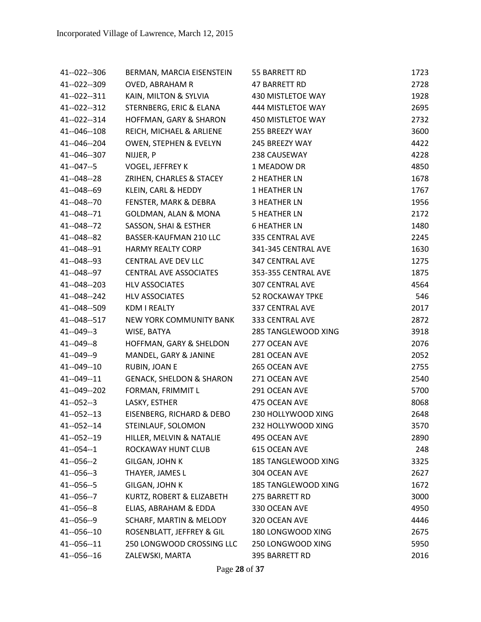| 41--022--306    | BERMAN, MARCIA EISENSTEIN 55 BARRETT RD |                        | 1723 |
|-----------------|-----------------------------------------|------------------------|------|
| 41--022--309    | OVED, ABRAHAM R                         | 47 BARRETT RD          | 2728 |
| 41--022--311    | KAIN, MILTON & SYLVIA                   | 430 MISTLETOE WAY      | 1928 |
| 41--022--312    | STERNBERG, ERIC & ELANA                 | 444 MISTLETOE WAY      | 2695 |
| 41--022--314    | HOFFMAN, GARY & SHARON                  | 450 MISTLETOE WAY      | 2732 |
| 41--046--108    | REICH, MICHAEL & ARLIENE                | 255 BREEZY WAY         | 3600 |
| 41--046--204    | OWEN, STEPHEN & EVELYN                  | 245 BREEZY WAY         | 4422 |
| 41--046--307    | NIJJER, P                               | 238 CAUSEWAY           | 4228 |
| $41 - 047 - 5$  | VOGEL, JEFFREY K                        | 1 MEADOW DR            | 4850 |
| 41--048--28     | ZRIHEN, CHARLES & STACEY                | 2 HEATHER LN           | 1678 |
| 41--048--69     | KLEIN, CARL & HEDDY                     | <b>1 HEATHER LN</b>    | 1767 |
| 41--048--70     | FENSTER, MARK & DEBRA                   | 3 HEATHER LN           | 1956 |
| 41--048--71     | GOLDMAN, ALAN & MONA                    | <b>5 HEATHER LN</b>    | 2172 |
| 41--048--72     | SASSON, SHAI & ESTHER                   | <b>6 HEATHER LN</b>    | 1480 |
| 41--048--82     | BASSER-KAUFMAN 210 LLC                  | 335 CENTRAL AVE        | 2245 |
| 41--048--91     | <b>HARMY REALTY CORP</b>                | 341-345 CENTRAL AVE    | 1630 |
| 41--048--93     | CENTRAL AVE DEV LLC                     | <b>347 CENTRAL AVE</b> | 1275 |
| 41--048--97     | CENTRAL AVE ASSOCIATES                  | 353-355 CENTRAL AVE    | 1875 |
| 41--048--203    | HLV ASSOCIATES                          | <b>307 CENTRAL AVE</b> | 4564 |
| 41--048--242    | <b>HLV ASSOCIATES</b>                   | 52 ROCKAWAY TPKE       | 546  |
| 41--048--509    | KDM I REALTY                            | 337 CENTRAL AVE        | 2017 |
| 41--048--517    | NEW YORK COMMUNITY BANK                 | 333 CENTRAL AVE        | 2872 |
| $41 - 049 - 3$  | WISE, BATYA                             | 285 TANGLEWOOD XING    | 3918 |
| 41 -- 049 -- 8  | HOFFMAN, GARY & SHELDON                 | 277 OCEAN AVE          | 2076 |
| 41--049--9      | MANDEL, GARY & JANINE                   | 281 OCEAN AVE          | 2052 |
| 41--049--10     | RUBIN, JOAN E                           | 265 OCEAN AVE          | 2755 |
| 41--049--11     | <b>GENACK, SHELDON &amp; SHARON</b>     | 271 OCEAN AVE          | 2540 |
| 41--049--202    | FORMAN, FRIMMIT L                       | 291 OCEAN AVE          | 5700 |
| $41 - 052 - 3$  | LASKY, ESTHER                           | 475 OCEAN AVE          | 8068 |
| 41 -- 052 -- 13 | EISENBERG, RICHARD & DEBO               | 230 HOLLYWOOD XING     | 2648 |
| 41--052--14     | STEINLAUF, SOLOMON                      | 232 HOLLYWOOD XING     | 3570 |
| 41--052--19     | HILLER, MELVIN & NATALIE                | 495 OCEAN AVE          | 2890 |
| $41 - 054 - 1$  | ROCKAWAY HUNT CLUB                      | 615 OCEAN AVE          | 248  |
| $41 - 056 - 2$  | GILGAN, JOHN K                          | 185 TANGLEWOOD XING    | 3325 |
| $41 - 056 - 3$  | THAYER, JAMES L                         | 304 OCEAN AVE          | 2627 |
| 41 -- 056 -- 5  | GILGAN, JOHN K                          | 185 TANGLEWOOD XING    | 1672 |
| $41 - 056 - 7$  | KURTZ, ROBERT & ELIZABETH               | 275 BARRETT RD         | 3000 |
| 41--056--8      | ELIAS, ABRAHAM & EDDA                   | 330 OCEAN AVE          | 4950 |
| 41--056--9      | <b>SCHARF, MARTIN &amp; MELODY</b>      | 320 OCEAN AVE          | 4446 |
| 41--056--10     | ROSENBLATT, JEFFREY & GIL               | 180 LONGWOOD XING      | 2675 |
| 41--056--11     | 250 LONGWOOD CROSSING LLC               | 250 LONGWOOD XING      | 5950 |
| 41--056--16     | ZALEWSKI, MARTA                         | 395 BARRETT RD         | 2016 |
|                 |                                         |                        |      |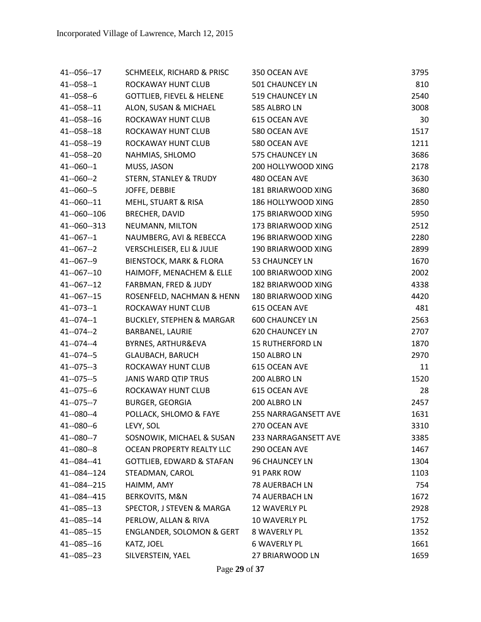| 41--056--17     | SCHMEELK, RICHARD & PRISC            | 350 OCEAN AVE           | 3795 |
|-----------------|--------------------------------------|-------------------------|------|
| 41--058--1      | ROCKAWAY HUNT CLUB                   | 501 CHAUNCEY LN         | 810  |
| $41 - 058 - 6$  | <b>GOTTLIEB, FIEVEL &amp; HELENE</b> | <b>519 CHAUNCEY LN</b>  | 2540 |
| 41 -- 058 -- 11 | ALON, SUSAN & MICHAEL                | 585 ALBRO LN            | 3008 |
| 41--058--16     | ROCKAWAY HUNT CLUB                   | 615 OCEAN AVE           | 30   |
| 41--058--18     | ROCKAWAY HUNT CLUB                   | 580 OCEAN AVE           | 1517 |
| 41--058--19     | ROCKAWAY HUNT CLUB                   | 580 OCEAN AVE           | 1211 |
| 41--058--20     | NAHMIAS, SHLOMO                      | 575 CHAUNCEY LN         | 3686 |
| $41 - 060 - 1$  | MUSS, JASON                          | 200 HOLLYWOOD XING      | 2178 |
| $41 - 060 - 2$  | STERN, STANLEY & TRUDY               | 480 OCEAN AVE           | 3630 |
| 41 -- 060 -- 5  | JOFFE, DEBBIE                        | 181 BRIARWOOD XING      | 3680 |
| 41--060--11     | MEHL, STUART & RISA                  | 186 HOLLYWOOD XING      | 2850 |
| 41--060--106    | BRECHER, DAVID                       | 175 BRIARWOOD XING      | 5950 |
| 41--060--313    | NEUMANN, MILTON                      | 173 BRIARWOOD XING      | 2512 |
| $41 - 067 - 1$  | NAUMBERG, AVI & REBECCA              | 196 BRIARWOOD XING      | 2280 |
| $41 - 067 - 2$  | VERSCHLEISER, ELI & JULIE            | 190 BRIARWOOD XING      | 2899 |
| 41 -- 067 -- 9  | <b>BIENSTOCK, MARK &amp; FLORA</b>   | 53 CHAUNCEY LN          | 1670 |
| 41 -- 067 -- 10 | HAIMOFF, MENACHEM & ELLE             | 100 BRIARWOOD XING      | 2002 |
| 41--067--12     | FARBMAN, FRED & JUDY                 | 182 BRIARWOOD XING      | 4338 |
| 41--067--15     | ROSENFELD, NACHMAN & HENN            | 180 BRIARWOOD XING      | 4420 |
| 41--073--1      | ROCKAWAY HUNT CLUB                   | 615 OCEAN AVE           | 481  |
| $41 - 074 - 1$  | <b>BUCKLEY, STEPHEN &amp; MARGAR</b> | <b>600 CHAUNCEY LN</b>  | 2563 |
| $41 - 074 - 2$  | <b>BARBANEL, LAURIE</b>              | <b>620 CHAUNCEY LN</b>  | 2707 |
| 41--074--4      | BYRNES, ARTHUR&EVA                   | <b>15 RUTHERFORD LN</b> | 1870 |
| 41 -- 074 -- 5  | <b>GLAUBACH, BARUCH</b>              | 150 ALBRO LN            | 2970 |
| $41 - 075 - 3$  | ROCKAWAY HUNT CLUB                   | 615 OCEAN AVE           | 11   |
| 41 -- 075 -- 5  | JANIS WARD QTIP TRUS                 | 200 ALBRO LN            | 1520 |
| 41--075--6      | ROCKAWAY HUNT CLUB                   | 615 OCEAN AVE           | 28   |
| 41 -- 075 -- 7  | <b>BURGER, GEORGIA</b>               | 200 ALBRO LN            | 2457 |
| 41 -- 080 -- 4  | POLLACK, SHLOMO & FAYE               | 255 NARRAGANSETT AVE    | 1631 |
| 41--080--6      | LEVY, SOL                            | 270 OCEAN AVE           | 3310 |
| 41--080--7      | SOSNOWIK, MICHAEL & SUSAN            | 233 NARRAGANSETT AVE    | 3385 |
| 41--080--8      | OCEAN PROPERTY REALTY LLC            | 290 OCEAN AVE           | 1467 |
| 41--084--41     | <b>GOTTLIEB, EDWARD &amp; STAFAN</b> | 96 CHAUNCEY LN          | 1304 |
| 41--084--124    | STEADMAN, CAROL                      | 91 PARK ROW             | 1103 |
| 41--084--215    | HAIMM, AMY                           | <b>78 AUERBACH LN</b>   | 754  |
| 41--084--415    | <b>BERKOVITS, M&amp;N</b>            | 74 AUERBACH LN          | 1672 |
| 41--085--13     | SPECTOR, J STEVEN & MARGA            | 12 WAVERLY PL           | 2928 |
| 41--085--14     | PERLOW, ALLAN & RIVA                 | 10 WAVERLY PL           | 1752 |
| 41--085--15     | <b>ENGLANDER, SOLOMON &amp; GERT</b> | 8 WAVERLY PL            | 1352 |
| 41--085--16     | KATZ, JOEL                           | <b>6 WAVERLY PL</b>     | 1661 |
| 41--085--23     | SILVERSTEIN, YAEL                    | 27 BRIARWOOD LN         | 1659 |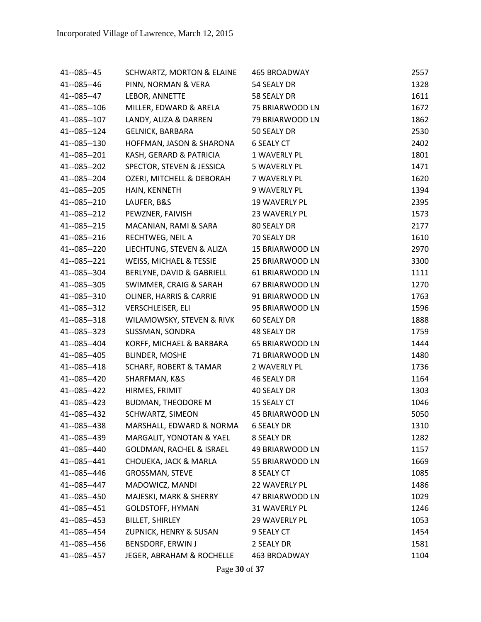| 41--085--45  | SCHWARTZ, MORTON & ELAINE           | 465 BROADWAY       | 2557 |
|--------------|-------------------------------------|--------------------|------|
| 41--085--46  | PINN, NORMAN & VERA                 | 54 SEALY DR        | 1328 |
| 41--085--47  | LEBOR, ANNETTE                      | 58 SEALY DR        | 1611 |
| 41--085--106 | MILLER, EDWARD & ARELA              | 75 BRIARWOOD LN    | 1672 |
| 41--085--107 | LANDY, ALIZA & DARREN               | 79 BRIARWOOD LN    | 1862 |
| 41--085--124 | <b>GELNICK, BARBARA</b>             | 50 SEALY DR        | 2530 |
| 41--085--130 | HOFFMAN, JASON & SHARONA            | <b>6 SEALY CT</b>  | 2402 |
| 41--085--201 | KASH, GERARD & PATRICIA             | 1 WAVERLY PL       | 1801 |
| 41--085--202 | SPECTOR, STEVEN & JESSICA           | 5 WAVERLY PL       | 1471 |
| 41--085--204 | OZERI, MITCHELL & DEBORAH           | 7 WAVERLY PL       | 1620 |
| 41--085--205 | HAIN, KENNETH                       | 9 WAVERLY PL       | 1394 |
| 41--085--210 | LAUFER, B&S                         | 19 WAVERLY PL      | 2395 |
| 41--085--212 | PEWZNER, FAIVISH                    | 23 WAVERLY PL      | 1573 |
| 41--085--215 | MACANIAN, RAMI & SARA               | 80 SEALY DR        | 2177 |
| 41--085--216 | RECHTWEG, NEIL A                    | 70 SEALY DR        | 1610 |
| 41--085--220 | LIECHTUNG, STEVEN & ALIZA           | 15 BRIARWOOD LN    | 2970 |
| 41--085--221 | WEISS, MICHAEL & TESSIE             | 25 BRIARWOOD LN    | 3300 |
| 41--085--304 | BERLYNE, DAVID & GABRIELL           | 61 BRIARWOOD LN    | 1111 |
| 41--085--305 | SWIMMER, CRAIG & SARAH              | 67 BRIARWOOD LN    | 1270 |
| 41--085--310 | OLINER, HARRIS & CARRIE             | 91 BRIARWOOD LN    | 1763 |
| 41--085--312 | <b>VERSCHLEISER, ELI</b>            | 95 BRIARWOOD LN    | 1596 |
| 41--085--318 | WILAMOWSKY, STEVEN & RIVK           | 60 SEALY DR        | 1888 |
| 41--085--323 | SUSSMAN, SONDRA                     | <b>48 SEALY DR</b> | 1759 |
| 41--085--404 | KORFF, MICHAEL & BARBARA            | 65 BRIARWOOD LN    | 1444 |
| 41--085--405 | BLINDER, MOSHE                      | 71 BRIARWOOD LN    | 1480 |
| 41--085--418 | SCHARF, ROBERT & TAMAR              | 2 WAVERLY PL       | 1736 |
| 41--085--420 | SHARFMAN, K&S                       | 46 SEALY DR        | 1164 |
| 41--085--422 | HIRMES, FRIMIT                      | 40 SEALY DR        | 1303 |
| 41--085--423 | <b>BUDMAN, THEODORE M</b>           | 15 SEALY CT        | 1046 |
| 41--085--432 | SCHWARTZ, SIMEON                    | 45 BRIARWOOD LN    | 5050 |
| 41--085--438 | MARSHALL, EDWARD & NORMA            | <b>6 SEALY DR</b>  | 1310 |
| 41--085--439 | MARGALIT, YONOTAN & YAEL            | 8 SEALY DR         | 1282 |
| 41--085--440 | <b>GOLDMAN, RACHEL &amp; ISRAEL</b> | 49 BRIARWOOD LN    | 1157 |
| 41--085--441 | CHOUEKA, JACK & MARLA               | 55 BRIARWOOD LN    | 1669 |
| 41--085--446 | <b>GROSSMAN, STEVE</b>              | 8 SEALY CT         | 1085 |
| 41--085--447 | MADOWICZ, MANDI                     | 22 WAVERLY PL      | 1486 |
| 41--085--450 | MAJESKI, MARK & SHERRY              | 47 BRIARWOOD LN    | 1029 |
| 41--085--451 | GOLDSTOFF, HYMAN                    | 31 WAVERLY PL      | 1246 |
| 41--085--453 | <b>BILLET, SHIRLEY</b>              | 29 WAVERLY PL      | 1053 |
| 41--085--454 | <b>ZUPNICK, HENRY &amp; SUSAN</b>   | 9 SEALY CT         | 1454 |
| 41--085--456 | <b>BENSDORF, ERWIN J</b>            | 2 SEALY DR         | 1581 |
| 41--085--457 | JEGER, ABRAHAM & ROCHELLE           | 463 BROADWAY       | 1104 |

Page **30** of **37**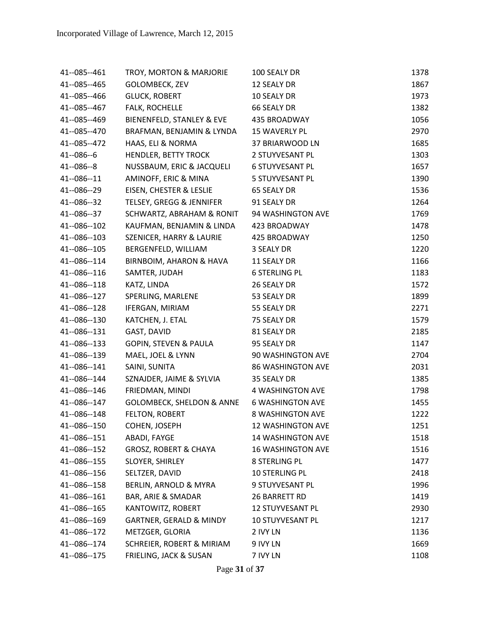| 41--085--461   | TROY, MORTON & MARJORIE              | 100 SEALY DR             | 1378 |
|----------------|--------------------------------------|--------------------------|------|
| 41--085--465   | GOLOMBECK, ZEV                       | 12 SEALY DR              | 1867 |
| 41--085--466   | <b>GLUCK, ROBERT</b>                 | 10 SEALY DR              | 1973 |
| 41--085--467   | FALK, ROCHELLE                       | 66 SEALY DR              | 1382 |
| 41--085--469   | BIENENFELD, STANLEY & EVE            | 435 BROADWAY             | 1056 |
| 41--085--470   | BRAFMAN, BENJAMIN & LYNDA            | <b>15 WAVERLY PL</b>     | 2970 |
| 41--085--472   | HAAS, ELI & NORMA                    | 37 BRIARWOOD LN          | 1685 |
| $41 - 086 - 6$ | <b>HENDLER, BETTY TROCK</b>          | 2 STUYVESANT PL          | 1303 |
| $41 - 086 - 8$ | NUSSBAUM, ERIC & JACQUELI            | <b>6 STUYVESANT PL</b>   | 1657 |
| 41--086--11    | AMINOFF, ERIC & MINA                 | 5 STUYVESANT PL          | 1390 |
| 41--086--29    | EISEN, CHESTER & LESLIE              | 65 SEALY DR              | 1536 |
| 41--086--32    | TELSEY, GREGG & JENNIFER             | 91 SEALY DR              | 1264 |
| 41--086--37    | SCHWARTZ, ABRAHAM & RONIT            | 94 WASHINGTON AVE        | 1769 |
| 41--086--102   | KAUFMAN, BENJAMIN & LINDA            | 423 BROADWAY             | 1478 |
| 41--086--103   | SZENICER, HARRY & LAURIE             | 425 BROADWAY             | 1250 |
| 41--086--105   | BERGENFELD, WILLIAM                  | 3 SEALY DR               | 1220 |
| 41--086--114   | BIRNBOIM, AHARON & HAVA              | 11 SEALY DR              | 1166 |
| 41--086--116   | SAMTER, JUDAH                        | <b>6 STERLING PL</b>     | 1183 |
| 41--086--118   | KATZ, LINDA                          | 26 SEALY DR              | 1572 |
| 41--086--127   | SPERLING, MARLENE                    | 53 SEALY DR              | 1899 |
| 41--086--128   | IFERGAN, MIRIAM                      | 55 SEALY DR              | 2271 |
| 41--086--130   | KATCHEN, J. ETAL                     | 75 SEALY DR              | 1579 |
| 41--086--131   | GAST, DAVID                          | 81 SEALY DR              | 2185 |
| 41--086--133   | GOPIN, STEVEN & PAULA                | 95 SEALY DR              | 1147 |
| 41--086--139   | MAEL, JOEL & LYNN                    | 90 WASHINGTON AVE        | 2704 |
| 41--086--141   | SAINI, SUNITA                        | <b>86 WASHINGTON AVE</b> | 2031 |
| 41--086--144   | SZNAJDER, JAIME & SYLVIA             | 35 SEALY DR              | 1385 |
| 41--086--146   | FRIEDMAN, MINDI                      | <b>4 WASHINGTON AVE</b>  | 1798 |
| 41--086--147   | <b>GOLOMBECK, SHELDON &amp; ANNE</b> | <b>6 WASHINGTON AVE</b>  | 1455 |
| 41--086--148   | FELTON, ROBERT                       | <b>8 WASHINGTON AVE</b>  | 1222 |
| 41--086--150   | COHEN, JOSEPH                        | <b>12 WASHINGTON AVE</b> | 1251 |
| 41--086--151   | ABADI, FAYGE                         | 14 WASHINGTON AVE        | 1518 |
| 41--086--152   | <b>GROSZ, ROBERT &amp; CHAYA</b>     | <b>16 WASHINGTON AVE</b> | 1516 |
| 41--086--155   | SLOYER, SHIRLEY                      | <b>8 STERLING PL</b>     | 1477 |
| 41--086--156   | SELTZER, DAVID                       | 10 STERLING PL           | 2418 |
| 41--086--158   | <b>BERLIN, ARNOLD &amp; MYRA</b>     | 9 STUYVESANT PL          | 1996 |
| 41--086--161   | <b>BAR, ARIE &amp; SMADAR</b>        | 26 BARRETT RD            | 1419 |
| 41--086--165   | KANTOWITZ, ROBERT                    | 12 STUYVESANT PL         | 2930 |
| 41--086--169   | GARTNER, GERALD & MINDY              | 10 STUYVESANT PL         | 1217 |
| 41--086--172   | METZGER, GLORIA                      | 2 IVY LN                 | 1136 |
| 41--086--174   | SCHREIER, ROBERT & MIRIAM            | 9 IVY LN                 | 1669 |
| 41--086--175   | FRIELING, JACK & SUSAN               | 7 IVY LN                 | 1108 |
|                |                                      |                          |      |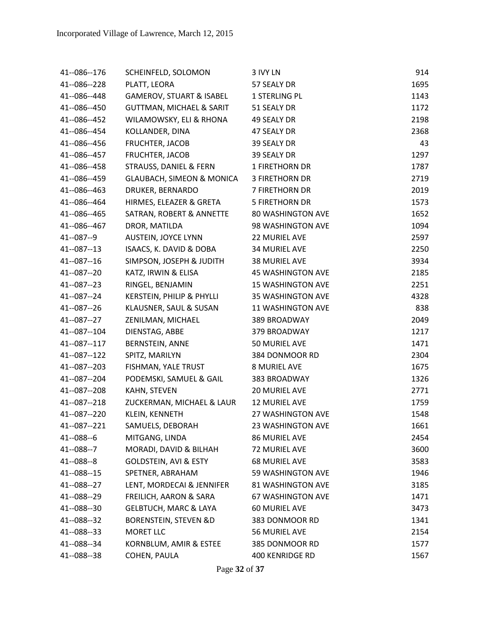| 41--086--176    | SCHEINFELD, SOLOMON                  | 3 IVY LN                 | 914  |
|-----------------|--------------------------------------|--------------------------|------|
| 41--086--228    | PLATT, LEORA                         | 57 SEALY DR              | 1695 |
| 41--086--448    | <b>GAMEROV, STUART &amp; ISABEL</b>  | <b>1 STERLING PL</b>     | 1143 |
| 41--086--450    | <b>GUTTMAN, MICHAEL &amp; SARIT</b>  | 51 SEALY DR              | 1172 |
| 41--086--452    | WILAMOWSKY, ELI & RHONA              | 49 SEALY DR              | 2198 |
| 41--086--454    | KOLLANDER, DINA                      | 47 SEALY DR              | 2368 |
| 41--086--456    | FRUCHTER, JACOB                      | 39 SEALY DR              | 43   |
| 41--086--457    | FRUCHTER, JACOB                      | 39 SEALY DR              | 1297 |
| 41--086--458    | STRAUSS, DANIEL & FERN               | 1 FIRETHORN DR           | 1787 |
| 41--086--459    | <b>GLAUBACH, SIMEON &amp; MONICA</b> | 3 FIRETHORN DR           | 2719 |
| 41--086--463    | DRUKER, BERNARDO                     | 7 FIRETHORN DR           | 2019 |
| 41--086--464    | HIRMES, ELEAZER & GRETA              | 5 FIRETHORN DR           | 1573 |
| 41--086--465    | SATRAN, ROBERT & ANNETTE             | 80 WASHINGTON AVE        | 1652 |
| 41--086--467    | DROR, MATILDA                        | 98 WASHINGTON AVE        | 1094 |
| 41--087--9      | <b>AUSTEIN, JOYCE LYNN</b>           | <b>22 MURIEL AVE</b>     | 2597 |
| 41--087--13     | ISAACS, K. DAVID & DOBA              | 34 MURIEL AVE            | 2250 |
| $41 - 087 - 16$ | SIMPSON, JOSEPH & JUDITH             | 38 MURIEL AVE            | 3934 |
| 41--087--20     | KATZ, IRWIN & ELISA                  | 45 WASHINGTON AVE        | 2185 |
| 41 -- 087 -- 23 | RINGEL, BENJAMIN                     | <b>15 WASHINGTON AVE</b> | 2251 |
| 41--087--24     | KERSTEIN, PHILIP & PHYLLI            | 35 WASHINGTON AVE        | 4328 |
| 41--087--26     | KLAUSNER, SAUL & SUSAN               | 11 WASHINGTON AVE        | 838  |
| 41--087--27     | ZENILMAN, MICHAEL                    | 389 BROADWAY             | 2049 |
| 41--087--104    | DIENSTAG, ABBE                       | 379 BROADWAY             | 1217 |
| 41--087--117    | BERNSTEIN, ANNE                      | 50 MURIEL AVE            | 1471 |
| 41--087--122    | SPITZ, MARILYN                       | 384 DONMOOR RD           | 2304 |
| 41--087--203    | FISHMAN, YALE TRUST                  | 8 MURIEL AVE             | 1675 |
| 41--087--204    | PODEMSKI, SAMUEL & GAIL              | 383 BROADWAY             | 1326 |
| 41--087--208    | KAHN, STEVEN                         | <b>20 MURIEL AVE</b>     | 2771 |
| 41--087--218    | ZUCKERMAN, MICHAEL & LAUR            | <b>12 MURIEL AVE</b>     | 1759 |
| 41--087--220    | KLEIN, KENNETH                       | 27 WASHINGTON AVE        | 1548 |
| 41--087--221    | SAMUELS, DEBORAH                     | 23 WASHINGTON AVE        | 1661 |
| 41--088--6      | MITGANG, LINDA                       | <b>86 MURIEL AVE</b>     | 2454 |
| 41--088--7      | MORADI, DAVID & BILHAH               | 72 MURIEL AVE            | 3600 |
| 41--088--8      | <b>GOLDSTEIN, AVI &amp; ESTY</b>     | <b>68 MURIEL AVE</b>     | 3583 |
| 41--088--15     | SPETNER, ABRAHAM                     | 59 WASHINGTON AVE        | 1946 |
| 41--088--27     | LENT, MORDECAI & JENNIFER            | 81 WASHINGTON AVE        | 3185 |
| 41--088--29     | FREILICH, AARON & SARA               | <b>67 WASHINGTON AVE</b> | 1471 |
| 41--088--30     | <b>GELBTUCH, MARC &amp; LAYA</b>     | <b>60 MURIEL AVE</b>     | 3473 |
| 41--088--32     | <b>BORENSTEIN, STEVEN &amp;D</b>     | 383 DONMOOR RD           | 1341 |
| 41--088--33     | <b>MORET LLC</b>                     | 56 MURIEL AVE            | 2154 |
| 41--088--34     | KORNBLUM, AMIR & ESTEE               | 385 DONMOOR RD           | 1577 |
| 41--088--38     | COHEN, PAULA                         | 400 KENRIDGE RD          | 1567 |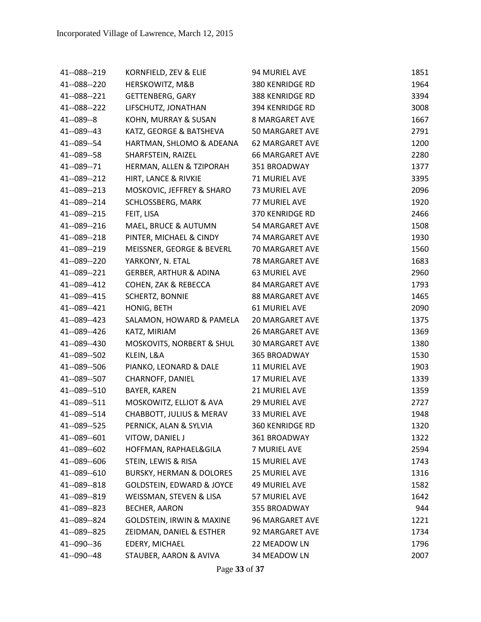| 41--088--219 | KORNFIELD, ZEV & ELIE                | 94 MURIEL AVE          | 1851 |
|--------------|--------------------------------------|------------------------|------|
| 41--088--220 | HERSKOWITZ, M&B                      | 380 KENRIDGE RD        | 1964 |
| 41--088--221 | GETTENBERG, GARY                     | 388 KENRIDGE RD        | 3394 |
| 41--088--222 | LIFSCHUTZ, JONATHAN                  | 394 KENRIDGE RD        | 3008 |
| 41--089--8   | KOHN, MURRAY & SUSAN                 | 8 MARGARET AVE         | 1667 |
| 41--089--43  | KATZ, GEORGE & BATSHEVA              | 50 MARGARET AVE        | 2791 |
| 41--089--54  | HARTMAN, SHLOMO & ADEANA             | <b>62 MARGARET AVE</b> | 1200 |
| 41--089--58  | SHARFSTEIN, RAIZEL                   | <b>66 MARGARET AVE</b> | 2280 |
| 41--089--71  | HERMAN, ALLEN & TZIPORAH             | 351 BROADWAY           | 1377 |
| 41--089--212 | HIRT, LANCE & RIVKIE                 | 71 MURIEL AVE          | 3395 |
| 41--089--213 | MOSKOVIC, JEFFREY & SHARO            | 73 MURIEL AVE          | 2096 |
| 41--089--214 | SCHLOSSBERG, MARK                    | 77 MURIEL AVE          | 1920 |
| 41--089--215 | FEIT, LISA                           | 370 KENRIDGE RD        | 2466 |
| 41--089--216 | MAEL, BRUCE & AUTUMN                 | 54 MARGARET AVE        | 1508 |
| 41--089--218 | PINTER, MICHAEL & CINDY              | 74 MARGARET AVE        | 1930 |
| 41--089--219 | MEISSNER, GEORGE & BEVERL            | 70 MARGARET AVE        | 1560 |
| 41--089--220 | YARKONY, N. ETAL                     | 78 MARGARET AVE        | 1683 |
| 41--089--221 | GERBER, ARTHUR & ADINA               | <b>63 MURIEL AVE</b>   | 2960 |
| 41--089--412 | COHEN, ZAK & REBECCA                 | <b>84 MARGARET AVE</b> | 1793 |
| 41--089--415 | SCHERTZ, BONNIE                      | <b>88 MARGARET AVE</b> | 1465 |
| 41--089--421 | HONIG, BETH                          | <b>61 MURIEL AVE</b>   | 2090 |
| 41--089--423 | SALAMON, HOWARD & PAMELA             | <b>20 MARGARET AVE</b> | 1375 |
| 41--089--426 | KATZ, MIRIAM                         | <b>26 MARGARET AVE</b> | 1369 |
| 41--089--430 | MOSKOVITS, NORBERT & SHUL            | <b>30 MARGARET AVE</b> | 1380 |
| 41--089--502 | KLEIN, L&A                           | 365 BROADWAY           | 1530 |
| 41--089--506 | PIANKO, LEONARD & DALE               | 11 MURIEL AVE          | 1903 |
| 41--089--507 | CHARNOFF, DANIEL                     | 17 MURIEL AVE          | 1339 |
| 41--089--510 | BAYER, KAREN                         | 21 MURIEL AVE          | 1359 |
| 41--089--511 | MOSKOWITZ, ELLIOT & AVA              | 29 MURIEL AVE          | 2727 |
| 41--089--514 | CHABBOTT, JULIUS & MERAV             | 33 MURIEL AVE          | 1948 |
| 41--089--525 | PERNICK, ALAN & SYLVIA               | <b>360 KENRIDGE RD</b> | 1320 |
| 41--089--601 | VITOW, DANIEL J                      | 361 BROADWAY           | 1322 |
| 41--089--602 | HOFFMAN, RAPHAEL&GILA                | 7 MURIEL AVE           | 2594 |
| 41--089--606 | STEIN, LEWIS & RISA                  | <b>15 MURIEL AVE</b>   | 1743 |
| 41--089--610 | <b>BURSKY, HERMAN &amp; DOLORES</b>  | 25 MURIEL AVE          | 1316 |
| 41--089--818 | <b>GOLDSTEIN, EDWARD &amp; JOYCE</b> | <b>49 MURIEL AVE</b>   | 1582 |
| 41--089--819 | WEISSMAN, STEVEN & LISA              | 57 MURIEL AVE          | 1642 |
| 41--089--823 | <b>BECHER, AARON</b>                 | 355 BROADWAY           | 944  |
| 41--089--824 | <b>GOLDSTEIN, IRWIN &amp; MAXINE</b> | 96 MARGARET AVE        | 1221 |
| 41--089--825 | ZEIDMAN, DANIEL & ESTHER             | 92 MARGARET AVE        | 1734 |
| 41--090--36  | EDERY, MICHAEL                       | 22 MEADOW LN           | 1796 |
| 41--090--48  | STAUBER, AARON & AVIVA               | 34 MEADOW LN           | 2007 |
|              |                                      |                        |      |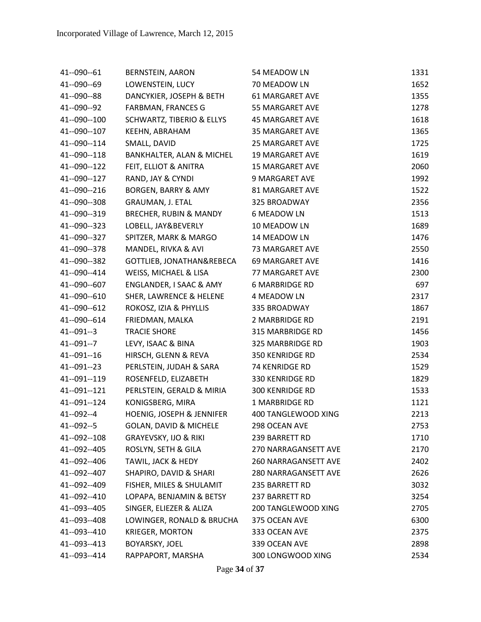| 41--090--61    | BERNSTEIN, AARON                     | 54 MEADOW LN                | 1331 |
|----------------|--------------------------------------|-----------------------------|------|
| 41--090--69    | LOWENSTEIN, LUCY                     | 70 MEADOW LN                | 1652 |
| 41--090--88    | DANCYKIER, JOSEPH & BETH             | 61 MARGARET AVE             | 1355 |
| 41--090--92    | <b>FARBMAN, FRANCES G</b>            | 55 MARGARET AVE             | 1278 |
| 41--090--100   | SCHWARTZ, TIBERIO & ELLYS            | 45 MARGARET AVE             | 1618 |
| 41--090--107   | KEEHN, ABRAHAM                       | 35 MARGARET AVE             | 1365 |
| 41--090--114   | SMALL, DAVID                         | <b>25 MARGARET AVE</b>      | 1725 |
| 41--090--118   | <b>BANKHALTER, ALAN &amp; MICHEL</b> | <b>19 MARGARET AVE</b>      | 1619 |
| 41--090--122   | FEIT, ELLIOT & ANITRA                | <b>15 MARGARET AVE</b>      | 2060 |
| 41--090--127   | RAND, JAY & CYNDI                    | 9 MARGARET AVE              | 1992 |
| 41--090--216   | BORGEN, BARRY & AMY                  | 81 MARGARET AVE             | 1522 |
| 41--090--308   | GRAUMAN, J. ETAL                     | 325 BROADWAY                | 2356 |
| 41--090--319   | BRECHER, RUBIN & MANDY               | 6 MEADOW LN                 | 1513 |
| 41--090--323   | LOBELL, JAY&BEVERLY                  | 10 MEADOW LN                | 1689 |
| 41--090--327   | SPITZER, MARK & MARGO                | 14 MEADOW LN                | 1476 |
| 41--090--378   | MANDEL, RIVKA & AVI                  | 73 MARGARET AVE             | 2550 |
| 41--090--382   | GOTTLIEB, JONATHAN&REBECA            | 69 MARGARET AVE             | 1416 |
| 41--090--414   | WEISS, MICHAEL & LISA                | 77 MARGARET AVE             | 2300 |
| 41--090--607   | ENGLANDER, I SAAC & AMY              | <b>6 MARBRIDGE RD</b>       | 697  |
| 41--090--610   | SHER, LAWRENCE & HELENE              | 4 MEADOW LN                 | 2317 |
| 41--090--612   | ROKOSZ, IZIA & PHYLLIS               | 335 BROADWAY                | 1867 |
| 41--090--614   | FRIEDMAN, MALKA                      | 2 MARBRIDGE RD              | 2191 |
| $41 - 091 - 3$ | <b>TRACIE SHORE</b>                  | 315 MARBRIDGE RD            | 1456 |
| 41--091--7     | LEVY, ISAAC & BINA                   | 325 MARBRIDGE RD            | 1903 |
| 41--091--16    | HIRSCH, GLENN & REVA                 | 350 KENRIDGE RD             | 2534 |
| 41--091--23    | PERLSTEIN, JUDAH & SARA              | 74 KENRIDGE RD              | 1529 |
| 41--091--119   | ROSENFELD, ELIZABETH                 | 330 KENRIDGE RD             | 1829 |
| 41--091--121   | PERLSTEIN, GERALD & MIRIA            | 300 KENRIDGE RD             | 1533 |
| 41--091--124   | KONIGSBERG, MIRA                     | 1 MARBRIDGE RD              | 1121 |
| 41--092--4     | HOENIG, JOSEPH & JENNIFER            | 400 TANGLEWOOD XING         | 2213 |
| 41 -- 092 -- 5 | <b>GOLAN, DAVID &amp; MICHELE</b>    | 298 OCEAN AVE               | 2753 |
| 41--092--108   | <b>GRAYEVSKY, IJO &amp; RIKI</b>     | 239 BARRETT RD              | 1710 |
| 41--092--405   | ROSLYN, SETH & GILA                  | 270 NARRAGANSETT AVE        | 2170 |
| 41--092--406   | TAWIL, JACK & HEDY                   | <b>260 NARRAGANSETT AVE</b> | 2402 |
| 41--092--407   | SHAPIRO, DAVID & SHARI               | 280 NARRAGANSETT AVE        | 2626 |
| 41--092--409   | FISHER, MILES & SHULAMIT             | 235 BARRETT RD              | 3032 |
| 41--092--410   | LOPAPA, BENJAMIN & BETSY             | 237 BARRETT RD              | 3254 |
| 41--093--405   | SINGER, ELIEZER & ALIZA              | 200 TANGLEWOOD XING         | 2705 |
| 41--093--408   | LOWINGER, RONALD & BRUCHA            | 375 OCEAN AVE               | 6300 |
| 41--093--410   | <b>KRIEGER, MORTON</b>               | 333 OCEAN AVE               | 2375 |
| 41--093--413   | <b>BOYARSKY, JOEL</b>                | 339 OCEAN AVE               | 2898 |
| 41--093--414   | RAPPAPORT, MARSHA                    | 300 LONGWOOD XING           | 2534 |
|                |                                      |                             |      |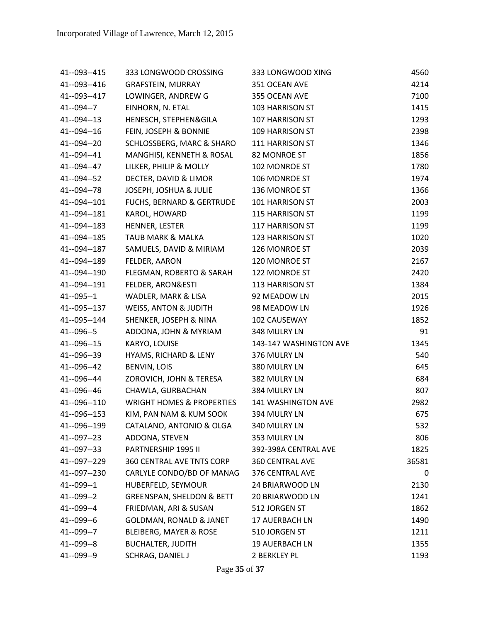| 41--093--415   | 333 LONGWOOD CROSSING                | 333 LONGWOOD XING      | 4560  |
|----------------|--------------------------------------|------------------------|-------|
| 41--093--416   | <b>GRAFSTEIN, MURRAY</b>             | 351 OCEAN AVE          | 4214  |
| 41--093--417   | LOWINGER, ANDREW G                   | 355 OCEAN AVE          | 7100  |
| 41--094--7     | EINHORN, N. ETAL                     | 103 HARRISON ST        | 1415  |
| 41--094--13    | HENESCH, STEPHEN&GILA                | 107 HARRISON ST        | 1293  |
| 41--094--16    | FEIN, JOSEPH & BONNIE                | 109 HARRISON ST        | 2398  |
| 41--094--20    | SCHLOSSBERG, MARC & SHARO            | 111 HARRISON ST        | 1346  |
| 41--094--41    | MANGHISI, KENNETH & ROSAL            | 82 MONROE ST           | 1856  |
| 41--094--47    | LILKER, PHILIP & MOLLY               | 102 MONROE ST          | 1780  |
| 41--094--52    | DECTER, DAVID & LIMOR                | 106 MONROE ST          | 1974  |
| 41--094--78    | JOSEPH, JOSHUA & JULIE               | 136 MONROE ST          | 1366  |
| 41--094--101   | <b>FUCHS, BERNARD &amp; GERTRUDE</b> | 101 HARRISON ST        | 2003  |
| 41--094--181   | KAROL, HOWARD                        | 115 HARRISON ST        | 1199  |
| 41--094--183   | HENNER, LESTER                       | 117 HARRISON ST        | 1199  |
| 41--094--185   | TAUB MARK & MALKA                    | 123 HARRISON ST        | 1020  |
| 41--094--187   | SAMUELS, DAVID & MIRIAM              | 126 MONROE ST          | 2039  |
| 41--094--189   | FELDER, AARON                        | 120 MONROE ST          | 2167  |
| 41--094--190   | FLEGMAN, ROBERTO & SARAH             | 122 MONROE ST          | 2420  |
| 41--094--191   | FELDER, ARON&ESTI                    | 113 HARRISON ST        | 1384  |
| $41 - 095 - 1$ | WADLER, MARK & LISA                  | 92 MEADOW LN           | 2015  |
| 41--095--137   | WEISS, ANTON & JUDITH                | 98 MEADOW LN           | 1926  |
| 41--095--144   | SHENKER, JOSEPH & NINA               | 102 CAUSEWAY           | 1852  |
| 41--096--5     | ADDONA, JOHN & MYRIAM                | 348 MULRY LN           | 91    |
| 41--096--15    | KARYO, LOUISE                        | 143-147 WASHINGTON AVE | 1345  |
| 41--096--39    | HYAMS, RICHARD & LENY                | 376 MULRY LN           | 540   |
| 41--096--42    | <b>BENVIN, LOIS</b>                  | 380 MULRY LN           | 645   |
| 41--096--44    | ZOROVICH, JOHN & TERESA              | 382 MULRY LN           | 684   |
| 41--096--46    | CHAWLA, GURBACHAN                    | 384 MULRY LN           | 807   |
| 41--096--110   | <b>WRIGHT HOMES &amp; PROPERTIES</b> | 141 WASHINGTON AVE     | 2982  |
| 41--096--153   | KIM, PAN NAM & KUM SOOK              | 394 MULRY LN           | 675   |
| 41--096--199   | CATALANO, ANTONIO & OLGA             | 340 MULRY LN           | 532   |
| 41--097--23    | ADDONA, STEVEN                       | 353 MULRY LN           | 806   |
| 41--097--33    | PARTNERSHIP 1995 II                  | 392-398A CENTRAL AVE   | 1825  |
| 41--097--229   | <b>360 CENTRAL AVE TNTS CORP</b>     | <b>360 CENTRAL AVE</b> | 36581 |
| 41--097--230   | CARLYLE CONDO/BD OF MANAG            | 376 CENTRAL AVE        | 0     |
| 41--099--1     | HUBERFELD, SEYMOUR                   | 24 BRIARWOOD LN        | 2130  |
| 41--099--2     | <b>GREENSPAN, SHELDON &amp; BETT</b> | 20 BRIARWOOD LN        | 1241  |
| 41--099--4     | FRIEDMAN, ARI & SUSAN                | 512 JORGEN ST          | 1862  |
| 41--099--6     | <b>GOLDMAN, RONALD &amp; JANET</b>   | 17 AUERBACH LN         | 1490  |
| 41--099--7     | <b>BLEIBERG, MAYER &amp; ROSE</b>    | 510 JORGEN ST          | 1211  |
| 41--099--8     | <b>BUCHALTER, JUDITH</b>             | 19 AUERBACH LN         | 1355  |
| 41--099--9     | SCHRAG, DANIEL J                     | 2 BERKLEY PL           | 1193  |
|                |                                      |                        |       |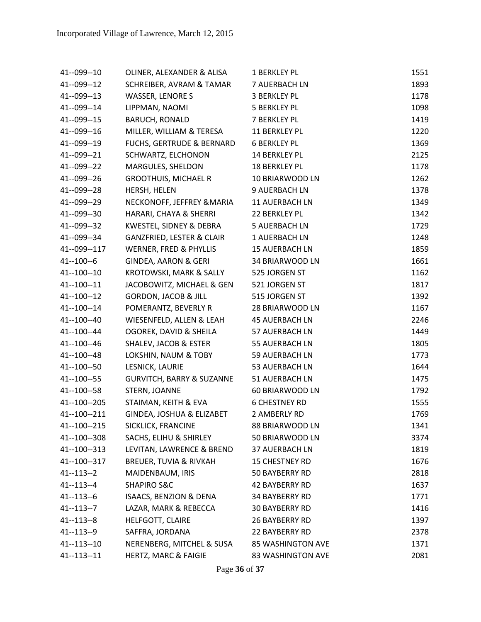| 41--099--10     | OLINER, ALEXANDER & ALISA            | 1 BERKLEY PL             | 1551 |
|-----------------|--------------------------------------|--------------------------|------|
| 41--099--12     | SCHREIBER, AVRAM & TAMAR             | 7 AUERBACH LN            | 1893 |
| 41--099--13     | <b>WASSER, LENORE S</b>              | <b>3 BERKLEY PL</b>      | 1178 |
| 41--099--14     | LIPPMAN, NAOMI                       | 5 BERKLEY PL             | 1098 |
| 41--099--15     | <b>BARUCH, RONALD</b>                | 7 BERKLEY PL             | 1419 |
| 41--099--16     | MILLER, WILLIAM & TERESA             | 11 BERKLEY PL            | 1220 |
| 41--099--19     | <b>FUCHS, GERTRUDE &amp; BERNARD</b> | <b>6 BERKLEY PL</b>      | 1369 |
| 41--099--21     | SCHWARTZ, ELCHONON                   | 14 BERKLEY PL            | 2125 |
| 41--099--22     | MARGULES, SHELDON                    | <b>18 BERKLEY PL</b>     | 1178 |
| 41--099--26     | <b>GROOTHUIS, MICHAEL R</b>          | 10 BRIARWOOD LN          | 1262 |
| 41--099--28     | HERSH, HELEN                         | 9 AUERBACH LN            | 1378 |
| 41--099--29     | NECKONOFF, JEFFREY & MARIA           | <b>11 AUERBACH LN</b>    | 1349 |
| 41--099--30     | HARARI, CHAYA & SHERRI               | 22 BERKLEY PL            | 1342 |
| 41--099--32     | KWESTEL, SIDNEY & DEBRA              | 5 AUERBACH LN            | 1729 |
| 41--099--34     | <b>GANZFRIED, LESTER &amp; CLAIR</b> | 1 AUERBACH LN            | 1248 |
| 41--099--117    | WERNER, FRED & PHYLLIS               | <b>15 AUERBACH LN</b>    | 1859 |
| $41 - 100 - 6$  | <b>GINDEA, AARON &amp; GERI</b>      | 34 BRIARWOOD LN          | 1661 |
| 41--100--10     | <b>KROTOWSKI, MARK &amp; SALLY</b>   | 525 JORGEN ST            | 1162 |
| 41--100--11     | JACOBOWITZ, MICHAEL & GEN            | 521 JORGEN ST            | 1817 |
| 41--100--12     | <b>GORDON, JACOB &amp; JILL</b>      | 515 JORGEN ST            | 1392 |
| 41--100--14     | POMERANTZ, BEVERLY R                 | 28 BRIARWOOD LN          | 1167 |
| 41--100--40     | WIESENFELD, ALLEN & LEAH             | <b>45 AUERBACH LN</b>    | 2246 |
| 41--100--44     | OGOREK, DAVID & SHEILA               | 57 AUERBACH LN           | 1449 |
| 41--100--46     | SHALEV, JACOB & ESTER                | 55 AUERBACH LN           | 1805 |
| 41--100--48     | LOKSHIN, NAUM & TOBY                 | 59 AUERBACH LN           | 1773 |
| 41--100--50     | LESNICK, LAURIE                      | 53 AUERBACH LN           | 1644 |
| 41 -- 100 -- 55 | <b>GURVITCH, BARRY &amp; SUZANNE</b> | 51 AUERBACH LN           | 1475 |
| 41 -- 100 -- 58 | STERN, JOANNE                        | 60 BRIARWOOD LN          | 1792 |
| 41--100--205    | STAIMAN, KEITH & EVA                 | <b>6 CHESTNEY RD</b>     | 1555 |
| 41--100--211    | GINDEA, JOSHUA & ELIZABET            | 2 AMBERLY RD             | 1769 |
| 41--100--215    | SICKLICK, FRANCINE                   | 88 BRIARWOOD LN          | 1341 |
| 41--100--308    | SACHS, ELIHU & SHIRLEY               | 50 BRIARWOOD LN          | 3374 |
| 41--100--313    | LEVITAN, LAWRENCE & BREND            | 37 AUERBACH LN           | 1819 |
| 41--100--317    | <b>BREUER, TUVIA &amp; RIVKAH</b>    | <b>15 CHESTNEY RD</b>    | 1676 |
| $41 - 113 - 2$  | MAIDENBAUM, IRIS                     | 50 BAYBERRY RD           | 2818 |
| $41 - 113 - 4$  | <b>SHAPIRO S&amp;C</b>               | 42 BAYBERRY RD           | 1637 |
| $41 - 113 - 6$  | ISAACS, BENZION & DENA               | 34 BAYBERRY RD           | 1771 |
| $41 - 113 - 7$  | LAZAR, MARK & REBECCA                | <b>30 BAYBERRY RD</b>    | 1416 |
| $41 - 113 - 8$  | <b>HELFGOTT, CLAIRE</b>              | 26 BAYBERRY RD           | 1397 |
| $41 - 113 - 9$  | SAFFRA, JORDANA                      | 22 BAYBERRY RD           | 2378 |
| $41 - 113 - 10$ | NERENBERG, MITCHEL & SUSA            | <b>85 WASHINGTON AVE</b> | 1371 |
| 41--113--11     | HERTZ, MARC & FAIGIE                 | <b>83 WASHINGTON AVE</b> | 2081 |
|                 |                                      |                          |      |